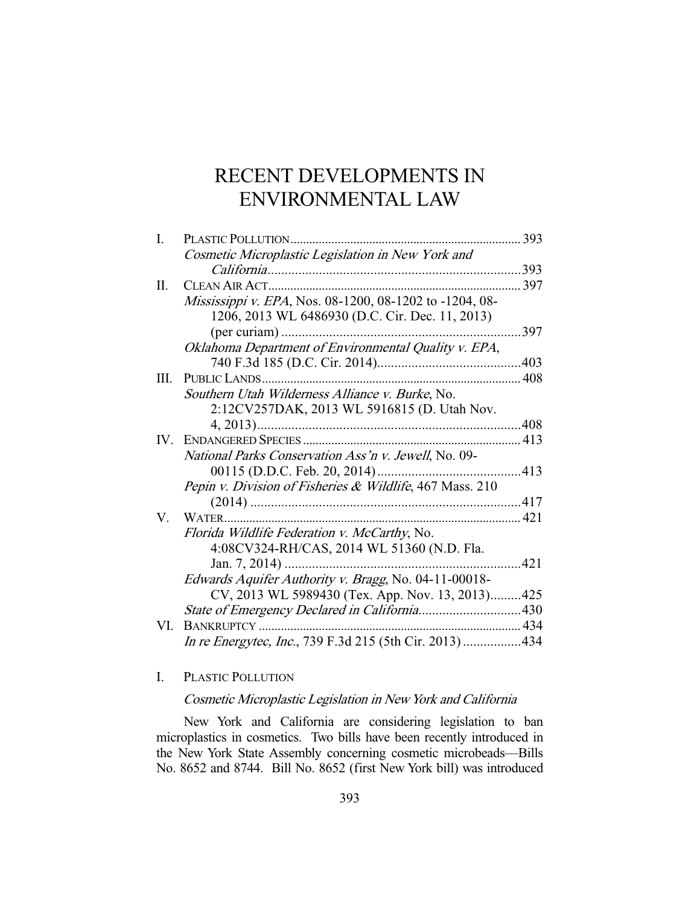# RECENT DEVELOPMENTS IN ENVIRONMENTAL LAW

| I.  | PLASTIC POLLUTION                                        | 393 |
|-----|----------------------------------------------------------|-----|
|     | Cosmetic Microplastic Legislation in New York and        |     |
|     |                                                          | 393 |
| П.  |                                                          | 397 |
|     | Mississippi v. EPA, Nos. 08-1200, 08-1202 to -1204, 08-  |     |
|     | 1206, 2013 WL 6486930 (D.C. Cir. Dec. 11, 2013)          |     |
|     |                                                          | 397 |
|     | Oklahoma Department of Environmental Quality v. EPA,     |     |
|     |                                                          |     |
| Ш.  | PUBLIC LANDS                                             | 408 |
|     | Southern Utah Wilderness Alliance v. Burke, No.          |     |
|     | 2:12CV257DAK, 2013 WL 5916815 (D. Utah Nov.              |     |
|     |                                                          | 408 |
| IV. |                                                          |     |
|     | National Parks Conservation Ass'n v. Jewell, No. 09-     |     |
|     | 00115 (D.D.C. Feb. 20, 2014)                             | 413 |
|     | Pepin v. Division of Fisheries & Wildlife, 467 Mass. 210 |     |
|     |                                                          |     |
| V.  |                                                          |     |
|     | Florida Wildlife Federation v. McCarthy, No.             |     |
|     | 4:08CV324-RH/CAS, 2014 WL 51360 (N.D. Fla.               |     |
|     | Jan. 7, 2014)                                            | 421 |
|     | Edwards Aquifer Authority v. Bragg, No. 04-11-00018-     |     |
|     | CV, 2013 WL 5989430 (Tex. App. Nov. 13, 2013)425         |     |
|     |                                                          |     |
| VI. | BANKRUPTCY                                               |     |
|     | In re Energytec, Inc., 739 F.3d 215 (5th Cir. 2013)434   |     |
|     |                                                          |     |

I. PLASTIC POLLUTION

# Cosmetic Microplastic Legislation in New York and California

 New York and California are considering legislation to ban microplastics in cosmetics. Two bills have been recently introduced in the New York State Assembly concerning cosmetic microbeads—Bills No. 8652 and 8744. Bill No. 8652 (first New York bill) was introduced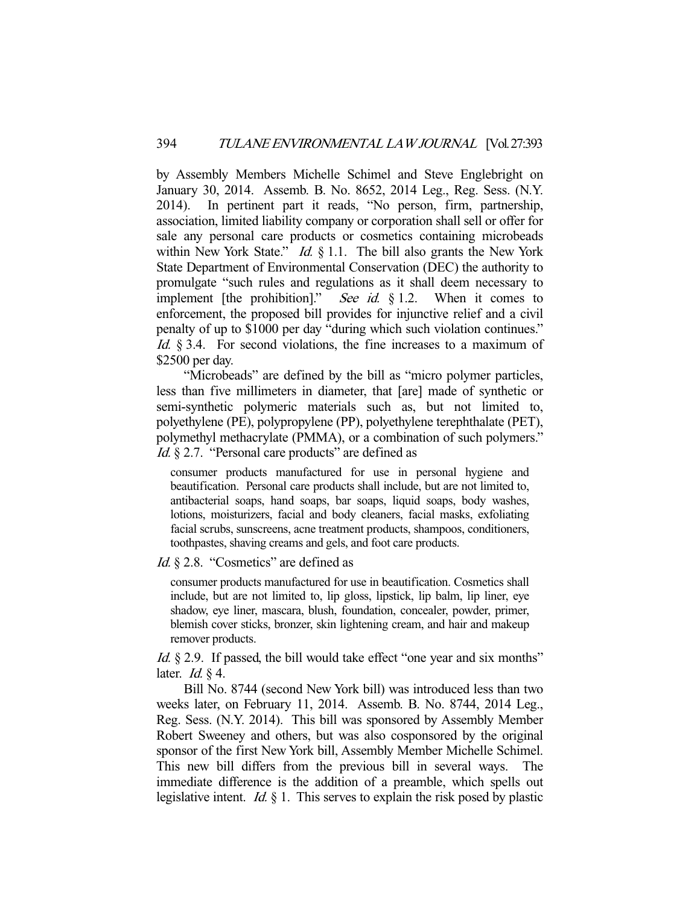by Assembly Members Michelle Schimel and Steve Englebright on January 30, 2014. Assemb. B. No. 8652, 2014 Leg., Reg. Sess. (N.Y. 2014). In pertinent part it reads, "No person, firm, partnership, association, limited liability company or corporation shall sell or offer for sale any personal care products or cosmetics containing microbeads within New York State."  $Id. \S$  1.1. The bill also grants the New York State Department of Environmental Conservation (DEC) the authority to promulgate "such rules and regulations as it shall deem necessary to implement [the prohibition]." See id.  $\S 1.2$ . When it comes to enforcement, the proposed bill provides for injunctive relief and a civil penalty of up to \$1000 per day "during which such violation continues." Id. § 3.4. For second violations, the fine increases to a maximum of \$2500 per day.

 "Microbeads" are defined by the bill as "micro polymer particles, less than five millimeters in diameter, that [are] made of synthetic or semi-synthetic polymeric materials such as, but not limited to, polyethylene (PE), polypropylene (PP), polyethylene terephthalate (PET), polymethyl methacrylate (PMMA), or a combination of such polymers." Id. § 2.7. "Personal care products" are defined as

consumer products manufactured for use in personal hygiene and beautification. Personal care products shall include, but are not limited to, antibacterial soaps, hand soaps, bar soaps, liquid soaps, body washes, lotions, moisturizers, facial and body cleaners, facial masks, exfoliating facial scrubs, sunscreens, acne treatment products, shampoos, conditioners, toothpastes, shaving creams and gels, and foot care products.

Id. § 2.8. "Cosmetics" are defined as

consumer products manufactured for use in beautification. Cosmetics shall include, but are not limited to, lip gloss, lipstick, lip balm, lip liner, eye shadow, eye liner, mascara, blush, foundation, concealer, powder, primer, blemish cover sticks, bronzer, skin lightening cream, and hair and makeup remover products.

Id. § 2.9. If passed, the bill would take effect "one year and six months" later. *Id.*  $\S$  4.

 Bill No. 8744 (second New York bill) was introduced less than two weeks later, on February 11, 2014. Assemb. B. No. 8744, 2014 Leg., Reg. Sess. (N.Y. 2014). This bill was sponsored by Assembly Member Robert Sweeney and others, but was also cosponsored by the original sponsor of the first New York bill, Assembly Member Michelle Schimel. This new bill differs from the previous bill in several ways. The immediate difference is the addition of a preamble, which spells out legislative intent. *Id.*  $\S$  1. This serves to explain the risk posed by plastic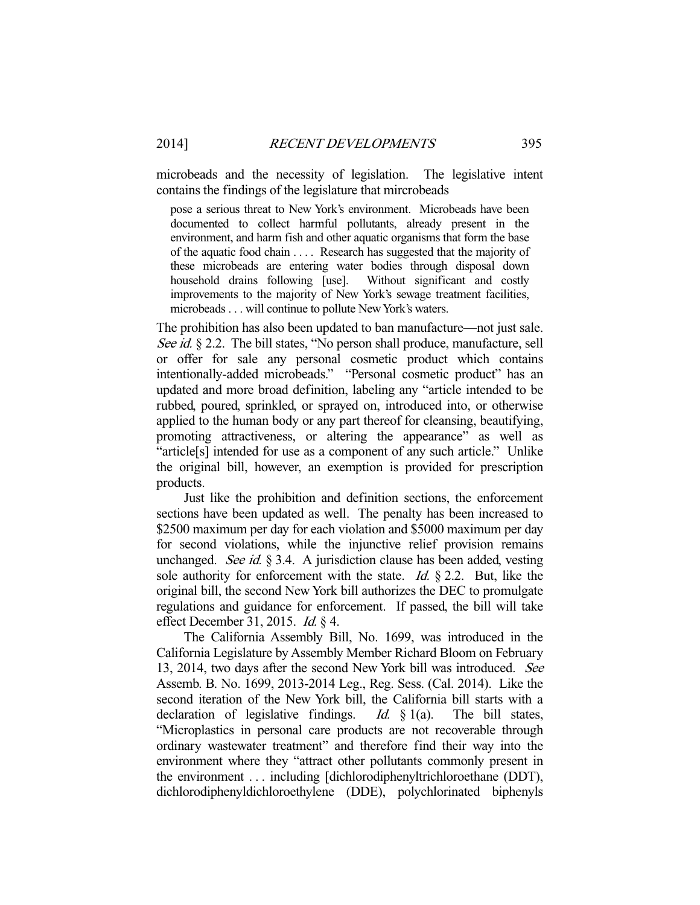microbeads and the necessity of legislation. The legislative intent contains the findings of the legislature that mircrobeads

pose a serious threat to New York's environment. Microbeads have been documented to collect harmful pollutants, already present in the environment, and harm fish and other aquatic organisms that form the base of the aquatic food chain . . . . Research has suggested that the majority of these microbeads are entering water bodies through disposal down household drains following [use]. Without significant and costly improvements to the majority of New York's sewage treatment facilities, microbeads . . . will continue to pollute New York's waters.

The prohibition has also been updated to ban manufacture—not just sale. See id. § 2.2. The bill states, "No person shall produce, manufacture, sell or offer for sale any personal cosmetic product which contains intentionally-added microbeads." "Personal cosmetic product" has an updated and more broad definition, labeling any "article intended to be rubbed, poured, sprinkled, or sprayed on, introduced into, or otherwise applied to the human body or any part thereof for cleansing, beautifying, promoting attractiveness, or altering the appearance" as well as "article[s] intended for use as a component of any such article." Unlike the original bill, however, an exemption is provided for prescription products.

 Just like the prohibition and definition sections, the enforcement sections have been updated as well. The penalty has been increased to \$2500 maximum per day for each violation and \$5000 maximum per day for second violations, while the injunctive relief provision remains unchanged. See id.  $\S$  3.4. A jurisdiction clause has been added, vesting sole authority for enforcement with the state. *Id.*  $\S$  2.2. But, like the original bill, the second New York bill authorizes the DEC to promulgate regulations and guidance for enforcement. If passed, the bill will take effect December 31, 2015. Id. § 4.

 The California Assembly Bill, No. 1699, was introduced in the California Legislature by Assembly Member Richard Bloom on February 13, 2014, two days after the second New York bill was introduced. See Assemb. B. No. 1699, 2013-2014 Leg., Reg. Sess. (Cal. 2014). Like the second iteration of the New York bill, the California bill starts with a declaration of legislative findings. *Id.*  $\S$  1(a). The bill states, "Microplastics in personal care products are not recoverable through ordinary wastewater treatment" and therefore find their way into the environment where they "attract other pollutants commonly present in the environment . . . including [dichlorodiphenyltrichloroethane (DDT), dichlorodiphenyldichloroethylene (DDE), polychlorinated biphenyls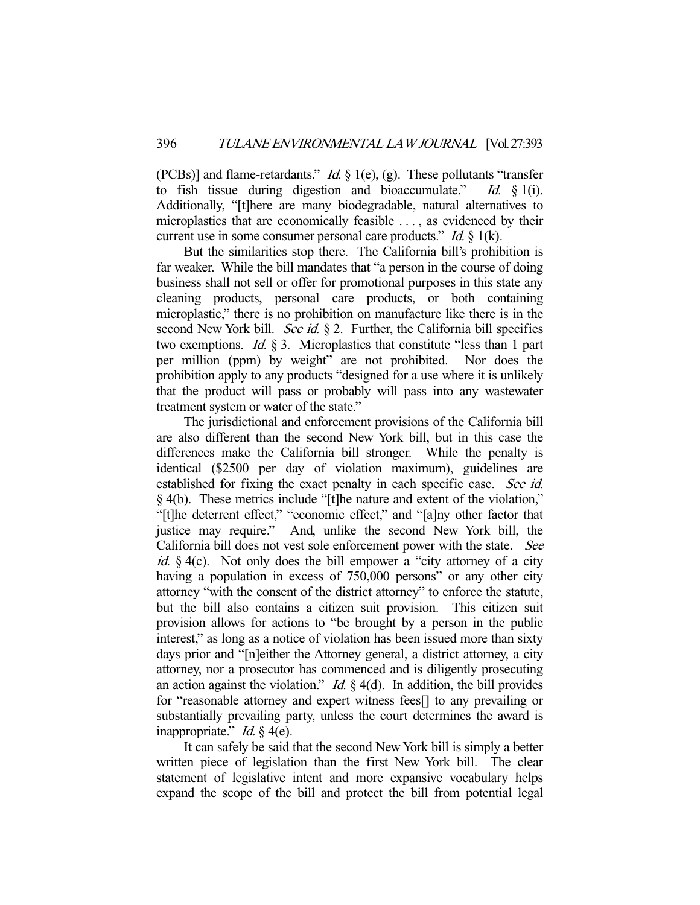(PCBs)] and flame-retardants." *Id.*  $\S$  1(e), (g). These pollutants "transfer to fish tissue during digestion and bioaccumulate." Id.  $\S$  1(i). Additionally, "[t]here are many biodegradable, natural alternatives to microplastics that are economically feasible . . . , as evidenced by their current use in some consumer personal care products."  $Id. \S$  1(k).

 But the similarities stop there. The California bill's prohibition is far weaker. While the bill mandates that "a person in the course of doing business shall not sell or offer for promotional purposes in this state any cleaning products, personal care products, or both containing microplastic," there is no prohibition on manufacture like there is in the second New York bill. See id.  $\S 2$ . Further, the California bill specifies two exemptions. Id. § 3. Microplastics that constitute "less than 1 part per million (ppm) by weight" are not prohibited. Nor does the prohibition apply to any products "designed for a use where it is unlikely that the product will pass or probably will pass into any wastewater treatment system or water of the state."

 The jurisdictional and enforcement provisions of the California bill are also different than the second New York bill, but in this case the differences make the California bill stronger. While the penalty is identical (\$2500 per day of violation maximum), guidelines are established for fixing the exact penalty in each specific case. See id. § 4(b). These metrics include "[t]he nature and extent of the violation," "[t]he deterrent effect," "economic effect," and "[a]ny other factor that justice may require." And, unlike the second New York bill, the California bill does not vest sole enforcement power with the state. See *id.*  $\S$  4(c). Not only does the bill empower a "city attorney of a city having a population in excess of 750,000 persons" or any other city attorney "with the consent of the district attorney" to enforce the statute, but the bill also contains a citizen suit provision. This citizen suit provision allows for actions to "be brought by a person in the public interest," as long as a notice of violation has been issued more than sixty days prior and "[n]either the Attorney general, a district attorney, a city attorney, nor a prosecutor has commenced and is diligently prosecuting an action against the violation." *Id.*  $\S$  4(d). In addition, the bill provides for "reasonable attorney and expert witness fees[] to any prevailing or substantially prevailing party, unless the court determines the award is inappropriate." *Id.*  $\frac{1}{2}$  4(e).

 It can safely be said that the second New York bill is simply a better written piece of legislation than the first New York bill. The clear statement of legislative intent and more expansive vocabulary helps expand the scope of the bill and protect the bill from potential legal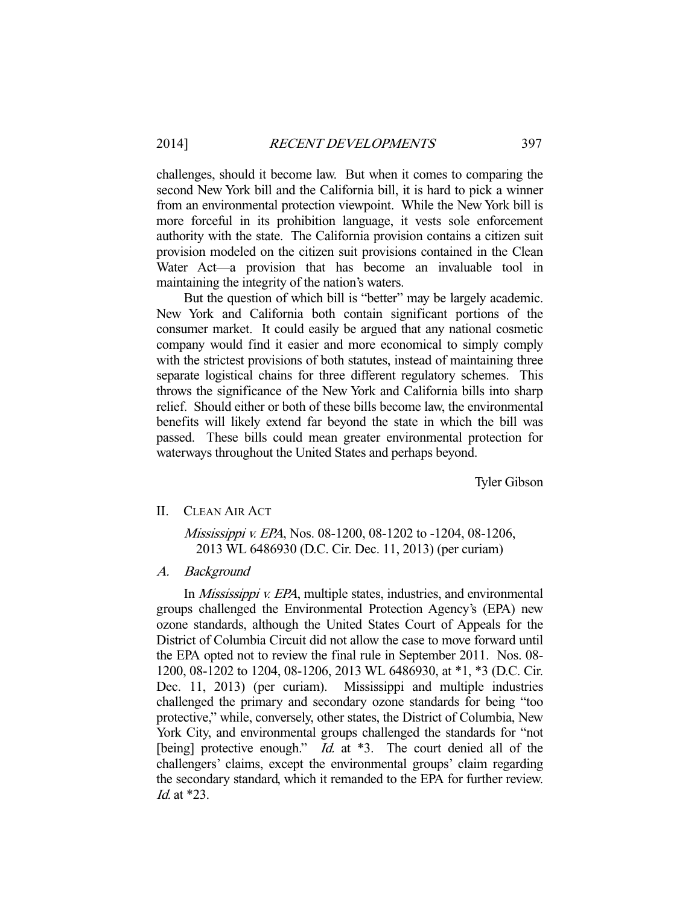challenges, should it become law. But when it comes to comparing the second New York bill and the California bill, it is hard to pick a winner from an environmental protection viewpoint. While the New York bill is more forceful in its prohibition language, it vests sole enforcement authority with the state. The California provision contains a citizen suit provision modeled on the citizen suit provisions contained in the Clean Water Act—a provision that has become an invaluable tool in maintaining the integrity of the nation's waters.

 But the question of which bill is "better" may be largely academic. New York and California both contain significant portions of the consumer market. It could easily be argued that any national cosmetic company would find it easier and more economical to simply comply with the strictest provisions of both statutes, instead of maintaining three separate logistical chains for three different regulatory schemes. This throws the significance of the New York and California bills into sharp relief. Should either or both of these bills become law, the environmental benefits will likely extend far beyond the state in which the bill was passed. These bills could mean greater environmental protection for waterways throughout the United States and perhaps beyond.

Tyler Gibson

#### II. CLEAN AIR ACT

Mississippi v. EPA, Nos. 08-1200, 08-1202 to -1204, 08-1206, 2013 WL 6486930 (D.C. Cir. Dec. 11, 2013) (per curiam)

## A. Background

In *Mississippi v. EPA*, multiple states, industries, and environmental groups challenged the Environmental Protection Agency's (EPA) new ozone standards, although the United States Court of Appeals for the District of Columbia Circuit did not allow the case to move forward until the EPA opted not to review the final rule in September 2011. Nos. 08- 1200, 08-1202 to 1204, 08-1206, 2013 WL 6486930, at \*1, \*3 (D.C. Cir. Dec. 11, 2013) (per curiam). Mississippi and multiple industries challenged the primary and secondary ozone standards for being "too protective," while, conversely, other states, the District of Columbia, New York City, and environmental groups challenged the standards for "not [being] protective enough."  $Id$  at  $*3$ . The court denied all of the challengers' claims, except the environmental groups' claim regarding the secondary standard, which it remanded to the EPA for further review. Id. at \*23.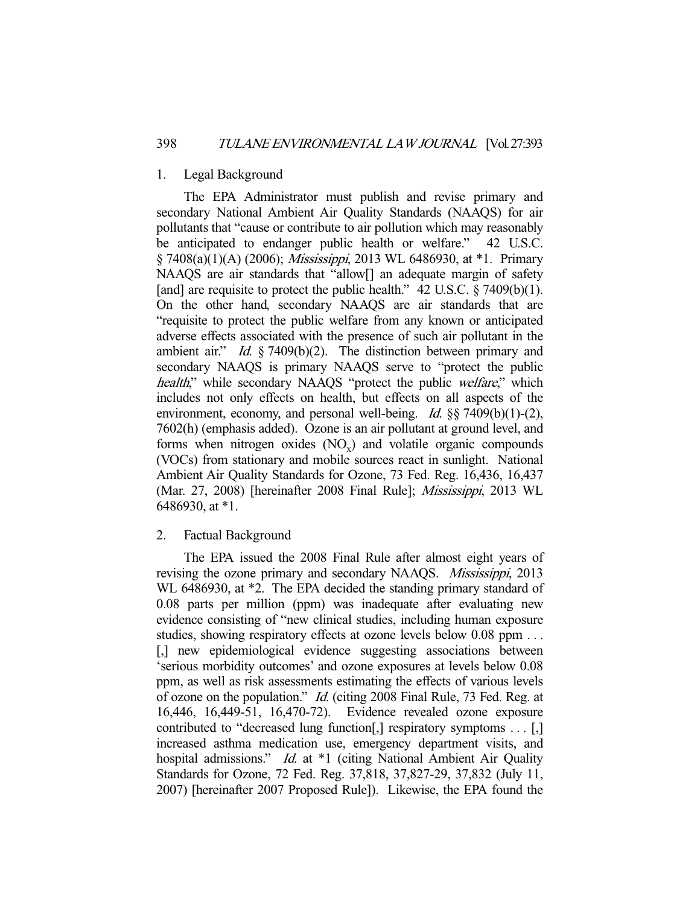#### 1. Legal Background

 The EPA Administrator must publish and revise primary and secondary National Ambient Air Quality Standards (NAAQS) for air pollutants that "cause or contribute to air pollution which may reasonably be anticipated to endanger public health or welfare." 42 U.S.C. § 7408(a)(1)(A) (2006); Mississippi, 2013 WL 6486930, at \*1. Primary NAAQS are air standards that "allow<sup>[]</sup> an adequate margin of safety [and] are requisite to protect the public health."  $42 \text{ U.S.C.}$  § 7409(b)(1). On the other hand, secondary NAAQS are air standards that are "requisite to protect the public welfare from any known or anticipated adverse effects associated with the presence of such air pollutant in the ambient air." Id.  $\S$  7409(b)(2). The distinction between primary and secondary NAAQS is primary NAAQS serve to "protect the public health," while secondary NAAQS "protect the public welfare," which includes not only effects on health, but effects on all aspects of the environment, economy, and personal well-being. *Id.*  $\S$ § 7409(b)(1)-(2), 7602(h) (emphasis added). Ozone is an air pollutant at ground level, and forms when nitrogen oxides  $(NO_x)$  and volatile organic compounds (VOCs) from stationary and mobile sources react in sunlight. National Ambient Air Quality Standards for Ozone, 73 Fed. Reg. 16,436, 16,437 (Mar. 27, 2008) [hereinafter 2008 Final Rule]; Mississippi, 2013 WL 6486930, at \*1.

## 2. Factual Background

 The EPA issued the 2008 Final Rule after almost eight years of revising the ozone primary and secondary NAAQS. Mississippi, 2013 WL 6486930, at  $*2$ . The EPA decided the standing primary standard of 0.08 parts per million (ppm) was inadequate after evaluating new evidence consisting of "new clinical studies, including human exposure studies, showing respiratory effects at ozone levels below 0.08 ppm ... [,] new epidemiological evidence suggesting associations between 'serious morbidity outcomes' and ozone exposures at levels below 0.08 ppm, as well as risk assessments estimating the effects of various levels of ozone on the population." Id. (citing 2008 Final Rule, 73 Fed. Reg. at 16,446, 16,449-51, 16,470-72). Evidence revealed ozone exposure contributed to "decreased lung function[,] respiratory symptoms . . . [,] increased asthma medication use, emergency department visits, and hospital admissions." Id. at \*1 (citing National Ambient Air Quality Standards for Ozone, 72 Fed. Reg. 37,818, 37,827-29, 37,832 (July 11, 2007) [hereinafter 2007 Proposed Rule]). Likewise, the EPA found the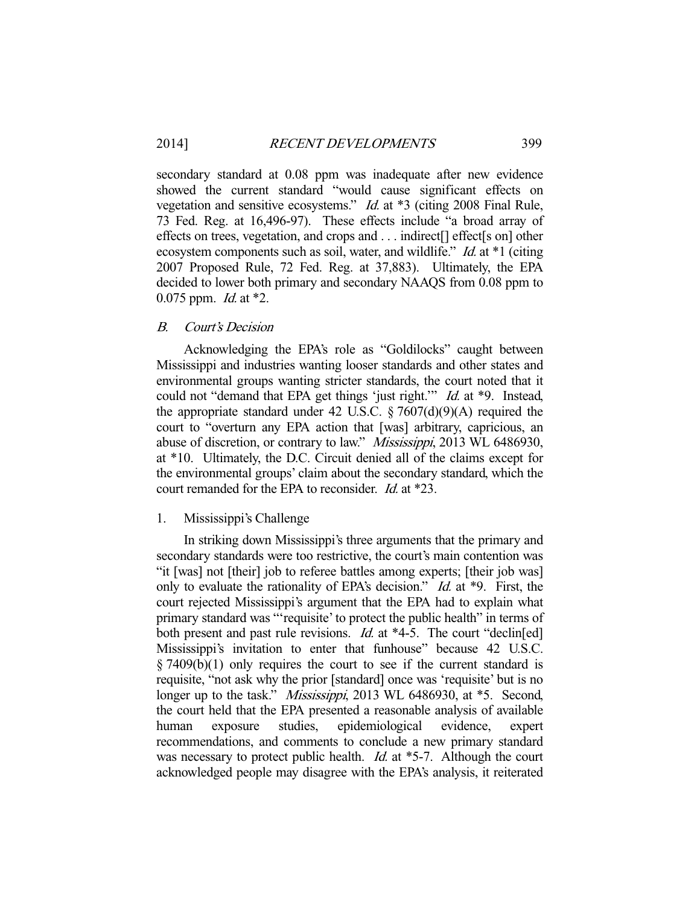secondary standard at 0.08 ppm was inadequate after new evidence showed the current standard "would cause significant effects on vegetation and sensitive ecosystems." Id. at \*3 (citing 2008 Final Rule, 73 Fed. Reg. at 16,496-97). These effects include "a broad array of effects on trees, vegetation, and crops and . . . indirect[] effect[s on] other ecosystem components such as soil, water, and wildlife." *Id.* at \*1 (citing 2007 Proposed Rule, 72 Fed. Reg. at 37,883). Ultimately, the EPA decided to lower both primary and secondary NAAQS from 0.08 ppm to 0.075 ppm. *Id.* at  $*2$ .

## B. Court's Decision

 Acknowledging the EPA's role as "Goldilocks" caught between Mississippi and industries wanting looser standards and other states and environmental groups wanting stricter standards, the court noted that it could not "demand that EPA get things 'just right." *Id.* at \*9. Instead, the appropriate standard under 42 U.S.C.  $\S 7607(d)(9)(A)$  required the court to "overturn any EPA action that [was] arbitrary, capricious, an abuse of discretion, or contrary to law." Mississippi, 2013 WL 6486930, at \*10. Ultimately, the D.C. Circuit denied all of the claims except for the environmental groups' claim about the secondary standard, which the court remanded for the EPA to reconsider. Id. at \*23.

#### 1. Mississippi's Challenge

 In striking down Mississippi's three arguments that the primary and secondary standards were too restrictive, the court's main contention was "it [was] not [their] job to referee battles among experts; [their job was] only to evaluate the rationality of EPA's decision." *Id.* at \*9. First, the court rejected Mississippi's argument that the EPA had to explain what primary standard was "'requisite' to protect the public health" in terms of both present and past rule revisions. *Id.* at \*4-5. The court "declin[ed] Mississippi's invitation to enter that funhouse" because 42 U.S.C. § 7409(b)(1) only requires the court to see if the current standard is requisite, "not ask why the prior [standard] once was 'requisite' but is no longer up to the task." *Mississippi*, 2013 WL 6486930, at \*5. Second, the court held that the EPA presented a reasonable analysis of available human exposure studies, epidemiological evidence, expert recommendations, and comments to conclude a new primary standard was necessary to protect public health.  $Id$  at  $*5-7$ . Although the court acknowledged people may disagree with the EPA's analysis, it reiterated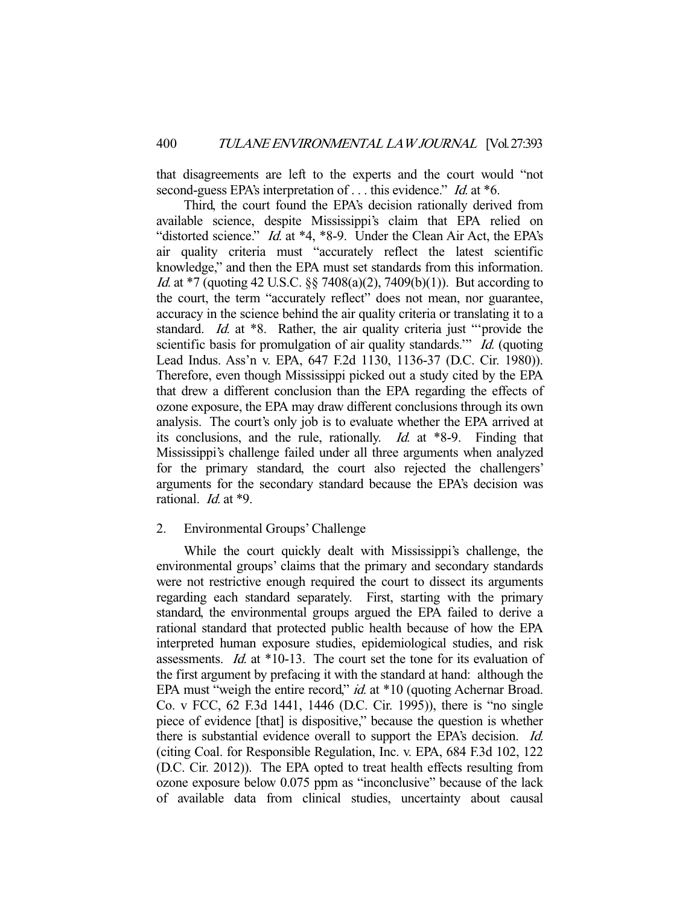that disagreements are left to the experts and the court would "not second-guess EPA's interpretation of ... this evidence." *Id.* at \*6.

 Third, the court found the EPA's decision rationally derived from available science, despite Mississippi's claim that EPA relied on "distorted science." *Id.* at \*4, \*8-9. Under the Clean Air Act, the EPA's air quality criteria must "accurately reflect the latest scientific knowledge," and then the EPA must set standards from this information. Id. at \*7 (quoting 42 U.S.C. §§ 7408(a)(2), 7409(b)(1)). But according to the court, the term "accurately reflect" does not mean, nor guarantee, accuracy in the science behind the air quality criteria or translating it to a standard. *Id.* at \*8. Rather, the air quality criteria just "provide the scientific basis for promulgation of air quality standards." *Id.* (quoting Lead Indus. Ass'n v. EPA, 647 F.2d 1130, 1136-37 (D.C. Cir. 1980)). Therefore, even though Mississippi picked out a study cited by the EPA that drew a different conclusion than the EPA regarding the effects of ozone exposure, the EPA may draw different conclusions through its own analysis. The court's only job is to evaluate whether the EPA arrived at its conclusions, and the rule, rationally. Id. at \*8-9. Finding that Mississippi's challenge failed under all three arguments when analyzed for the primary standard, the court also rejected the challengers' arguments for the secondary standard because the EPA's decision was rational. *Id.* at \*9.

## 2. Environmental Groups' Challenge

 While the court quickly dealt with Mississippi's challenge, the environmental groups' claims that the primary and secondary standards were not restrictive enough required the court to dissect its arguments regarding each standard separately. First, starting with the primary standard, the environmental groups argued the EPA failed to derive a rational standard that protected public health because of how the EPA interpreted human exposure studies, epidemiological studies, and risk assessments. Id. at \*10-13. The court set the tone for its evaluation of the first argument by prefacing it with the standard at hand: although the EPA must "weigh the entire record," *id.* at \*10 (quoting Achernar Broad. Co. v FCC, 62 F.3d 1441, 1446 (D.C. Cir. 1995)), there is "no single piece of evidence [that] is dispositive," because the question is whether there is substantial evidence overall to support the EPA's decision. Id. (citing Coal. for Responsible Regulation, Inc. v. EPA, 684 F.3d 102, 122 (D.C. Cir. 2012)). The EPA opted to treat health effects resulting from ozone exposure below 0.075 ppm as "inconclusive" because of the lack of available data from clinical studies, uncertainty about causal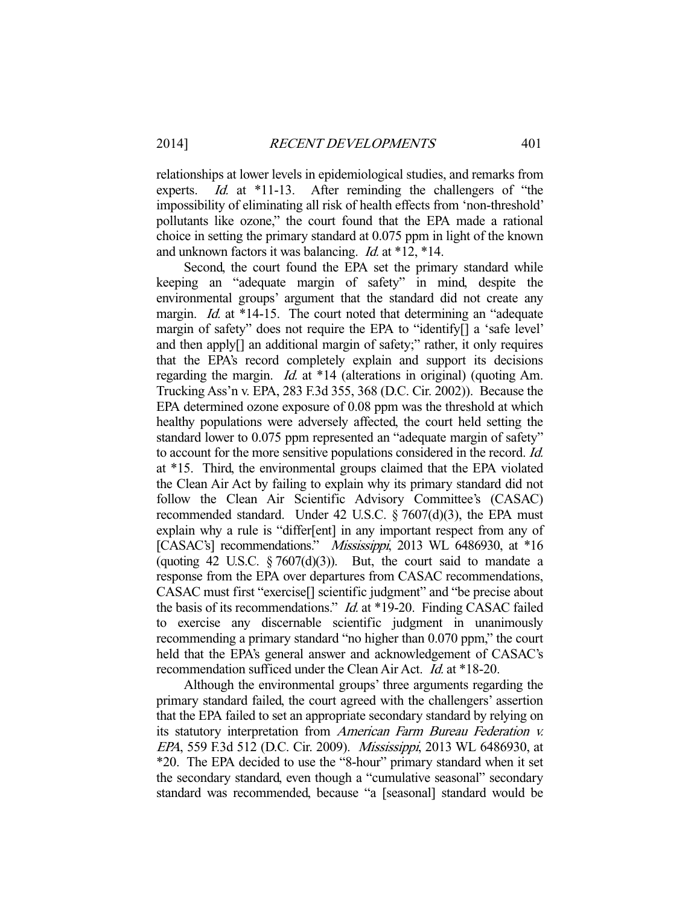relationships at lower levels in epidemiological studies, and remarks from experts. *Id.* at \*11-13. After reminding the challengers of "the impossibility of eliminating all risk of health effects from 'non-threshold' pollutants like ozone," the court found that the EPA made a rational choice in setting the primary standard at 0.075 ppm in light of the known and unknown factors it was balancing. Id. at \*12, \*14.

 Second, the court found the EPA set the primary standard while keeping an "adequate margin of safety" in mind, despite the environmental groups' argument that the standard did not create any margin. *Id.* at \*14-15. The court noted that determining an "adequate margin of safety" does not require the EPA to "identify[] a 'safe level' and then apply[] an additional margin of safety;" rather, it only requires that the EPA's record completely explain and support its decisions regarding the margin. Id. at \*14 (alterations in original) (quoting Am. Trucking Ass'n v. EPA, 283 F.3d 355, 368 (D.C. Cir. 2002)). Because the EPA determined ozone exposure of 0.08 ppm was the threshold at which healthy populations were adversely affected, the court held setting the standard lower to 0.075 ppm represented an "adequate margin of safety" to account for the more sensitive populations considered in the record. Id. at \*15. Third, the environmental groups claimed that the EPA violated the Clean Air Act by failing to explain why its primary standard did not follow the Clean Air Scientific Advisory Committee's (CASAC) recommended standard. Under 42 U.S.C. § 7607(d)(3), the EPA must explain why a rule is "differ[ent] in any important respect from any of [CASAC's] recommendations." Mississippi, 2013 WL 6486930, at \*16 (quoting 42 U.S.C.  $\S 7607(d)(3)$ ). But, the court said to mandate a response from the EPA over departures from CASAC recommendations, CASAC must first "exercise[] scientific judgment" and "be precise about the basis of its recommendations." *Id.* at \*19-20. Finding CASAC failed to exercise any discernable scientific judgment in unanimously recommending a primary standard "no higher than 0.070 ppm," the court held that the EPA's general answer and acknowledgement of CASAC's recommendation sufficed under the Clean Air Act. Id. at \*18-20.

 Although the environmental groups' three arguments regarding the primary standard failed, the court agreed with the challengers' assertion that the EPA failed to set an appropriate secondary standard by relying on its statutory interpretation from American Farm Bureau Federation v. EPA, 559 F.3d 512 (D.C. Cir. 2009). Mississippi, 2013 WL 6486930, at \*20. The EPA decided to use the "8-hour" primary standard when it set the secondary standard, even though a "cumulative seasonal" secondary standard was recommended, because "a [seasonal] standard would be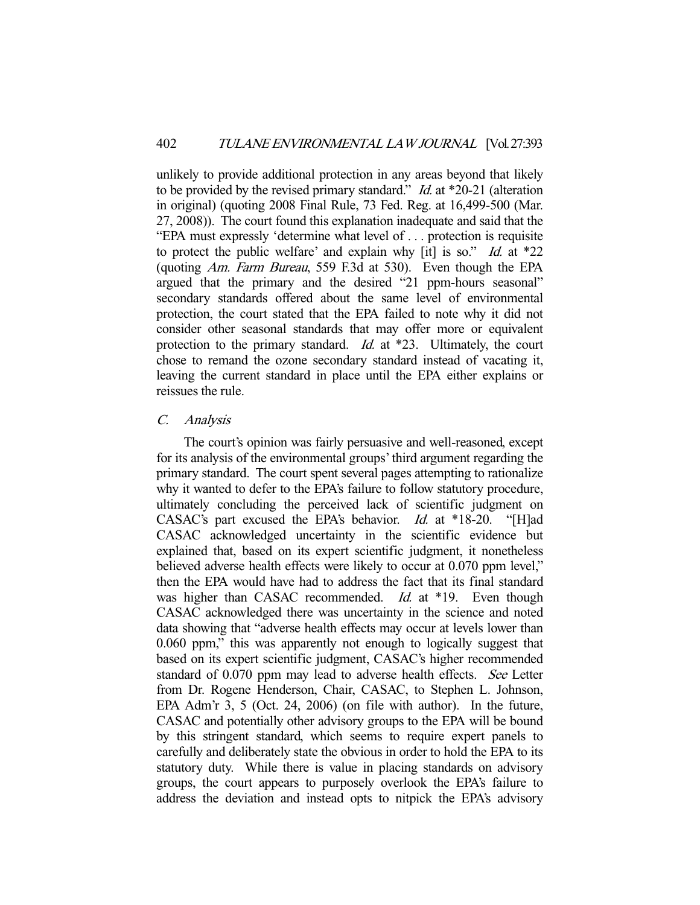unlikely to provide additional protection in any areas beyond that likely to be provided by the revised primary standard." *Id.* at \*20-21 (alteration in original) (quoting 2008 Final Rule, 73 Fed. Reg. at 16,499-500 (Mar. 27, 2008)). The court found this explanation inadequate and said that the "EPA must expressly 'determine what level of . . . protection is requisite to protect the public welfare' and explain why [it] is so." Id. at  $*22$ (quoting Am. Farm Bureau, 559 F.3d at 530). Even though the EPA argued that the primary and the desired "21 ppm-hours seasonal" secondary standards offered about the same level of environmental protection, the court stated that the EPA failed to note why it did not consider other seasonal standards that may offer more or equivalent protection to the primary standard. *Id.* at \*23. Ultimately, the court chose to remand the ozone secondary standard instead of vacating it, leaving the current standard in place until the EPA either explains or reissues the rule.

#### C. Analysis

 The court's opinion was fairly persuasive and well-reasoned, except for its analysis of the environmental groups' third argument regarding the primary standard. The court spent several pages attempting to rationalize why it wanted to defer to the EPA's failure to follow statutory procedure, ultimately concluding the perceived lack of scientific judgment on CASAC's part excused the EPA's behavior. Id. at \*18-20. "[H]ad CASAC acknowledged uncertainty in the scientific evidence but explained that, based on its expert scientific judgment, it nonetheless believed adverse health effects were likely to occur at 0.070 ppm level," then the EPA would have had to address the fact that its final standard was higher than CASAC recommended. Id. at \*19. Even though CASAC acknowledged there was uncertainty in the science and noted data showing that "adverse health effects may occur at levels lower than 0.060 ppm," this was apparently not enough to logically suggest that based on its expert scientific judgment, CASAC's higher recommended standard of 0.070 ppm may lead to adverse health effects. See Letter from Dr. Rogene Henderson, Chair, CASAC, to Stephen L. Johnson, EPA Adm'r 3, 5 (Oct. 24, 2006) (on file with author). In the future, CASAC and potentially other advisory groups to the EPA will be bound by this stringent standard, which seems to require expert panels to carefully and deliberately state the obvious in order to hold the EPA to its statutory duty. While there is value in placing standards on advisory groups, the court appears to purposely overlook the EPA's failure to address the deviation and instead opts to nitpick the EPA's advisory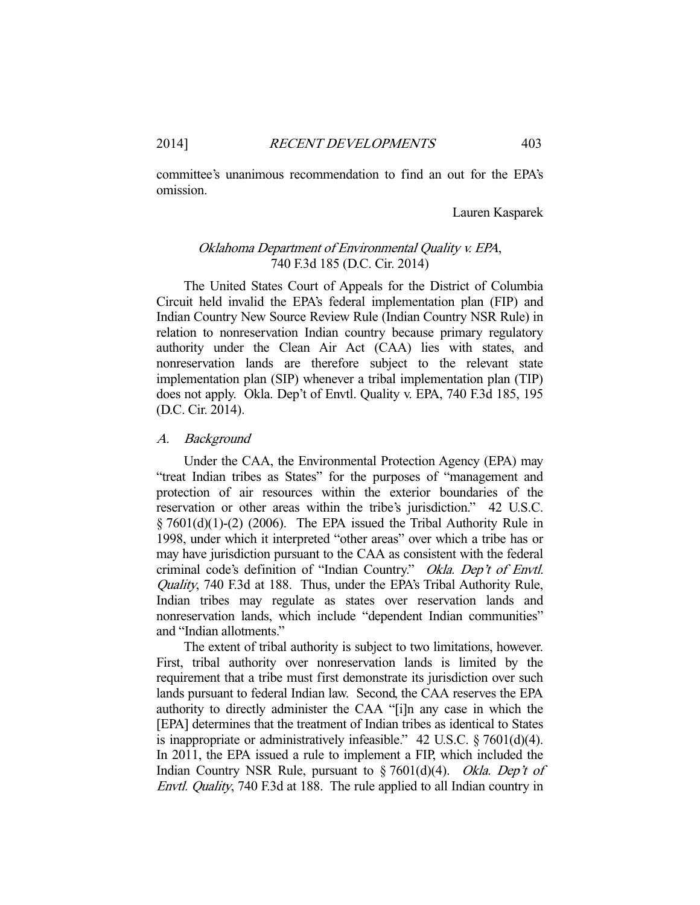committee's unanimous recommendation to find an out for the EPA's omission.

## Lauren Kasparek

## Oklahoma Department of Environmental Quality v. EPA, 740 F.3d 185 (D.C. Cir. 2014)

 The United States Court of Appeals for the District of Columbia Circuit held invalid the EPA's federal implementation plan (FIP) and Indian Country New Source Review Rule (Indian Country NSR Rule) in relation to nonreservation Indian country because primary regulatory authority under the Clean Air Act (CAA) lies with states, and nonreservation lands are therefore subject to the relevant state implementation plan (SIP) whenever a tribal implementation plan (TIP) does not apply. Okla. Dep't of Envtl. Quality v. EPA, 740 F.3d 185, 195 (D.C. Cir. 2014).

#### A. Background

 Under the CAA, the Environmental Protection Agency (EPA) may "treat Indian tribes as States" for the purposes of "management and protection of air resources within the exterior boundaries of the reservation or other areas within the tribe's jurisdiction." 42 U.S.C.  $\S 7601(d)(1)-(2)$  (2006). The EPA issued the Tribal Authority Rule in 1998, under which it interpreted "other areas" over which a tribe has or may have jurisdiction pursuant to the CAA as consistent with the federal criminal code's definition of "Indian Country." Okla. Dep't of Envtl. Quality, 740 F.3d at 188. Thus, under the EPA's Tribal Authority Rule, Indian tribes may regulate as states over reservation lands and nonreservation lands, which include "dependent Indian communities" and "Indian allotments."

 The extent of tribal authority is subject to two limitations, however. First, tribal authority over nonreservation lands is limited by the requirement that a tribe must first demonstrate its jurisdiction over such lands pursuant to federal Indian law. Second, the CAA reserves the EPA authority to directly administer the CAA "[i]n any case in which the [EPA] determines that the treatment of Indian tribes as identical to States is inappropriate or administratively infeasible."  $42$  U.S.C.  $\S$  7601(d)(4). In 2011, the EPA issued a rule to implement a FIP, which included the Indian Country NSR Rule, pursuant to § 7601(d)(4). Okla. Dep't of Envtl. Quality, 740 F.3d at 188. The rule applied to all Indian country in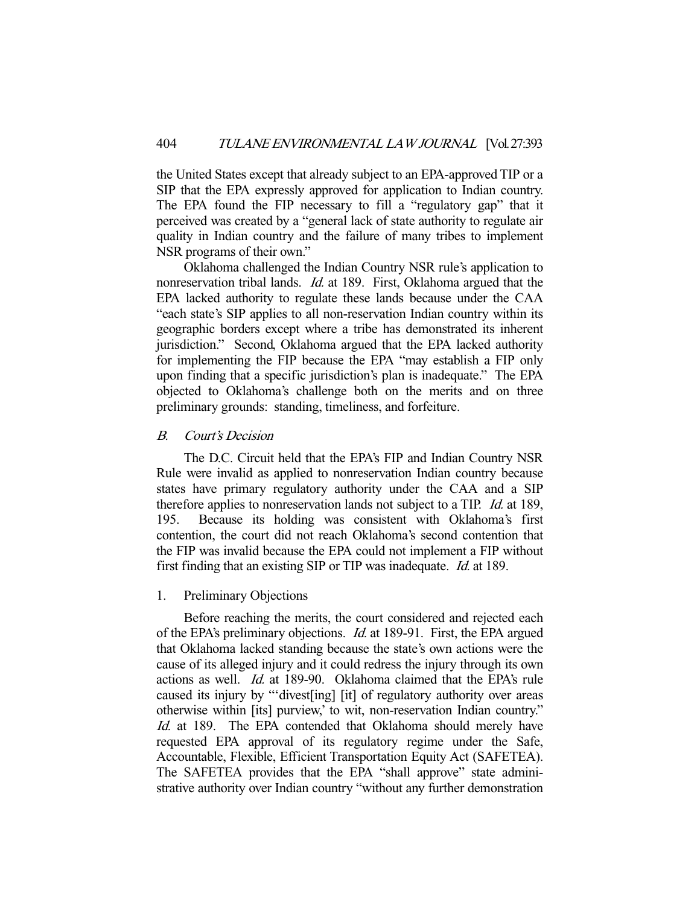the United States except that already subject to an EPA-approved TIP or a SIP that the EPA expressly approved for application to Indian country. The EPA found the FIP necessary to fill a "regulatory gap" that it perceived was created by a "general lack of state authority to regulate air quality in Indian country and the failure of many tribes to implement NSR programs of their own."

 Oklahoma challenged the Indian Country NSR rule's application to nonreservation tribal lands. Id. at 189. First, Oklahoma argued that the EPA lacked authority to regulate these lands because under the CAA "each state's SIP applies to all non-reservation Indian country within its geographic borders except where a tribe has demonstrated its inherent jurisdiction." Second, Oklahoma argued that the EPA lacked authority for implementing the FIP because the EPA "may establish a FIP only upon finding that a specific jurisdiction's plan is inadequate." The EPA objected to Oklahoma's challenge both on the merits and on three preliminary grounds: standing, timeliness, and forfeiture.

## B. Court's Decision

 The D.C. Circuit held that the EPA's FIP and Indian Country NSR Rule were invalid as applied to nonreservation Indian country because states have primary regulatory authority under the CAA and a SIP therefore applies to nonreservation lands not subject to a TIP. Id. at 189, 195. Because its holding was consistent with Oklahoma's first contention, the court did not reach Oklahoma's second contention that the FIP was invalid because the EPA could not implement a FIP without first finding that an existing SIP or TIP was inadequate. Id. at 189.

## 1. Preliminary Objections

 Before reaching the merits, the court considered and rejected each of the EPA's preliminary objections. Id. at 189-91. First, the EPA argued that Oklahoma lacked standing because the state's own actions were the cause of its alleged injury and it could redress the injury through its own actions as well. Id. at 189-90. Oklahoma claimed that the EPA's rule caused its injury by "'divest[ing] [it] of regulatory authority over areas otherwise within [its] purview,' to wit, non-reservation Indian country." Id. at 189. The EPA contended that Oklahoma should merely have requested EPA approval of its regulatory regime under the Safe, Accountable, Flexible, Efficient Transportation Equity Act (SAFETEA). The SAFETEA provides that the EPA "shall approve" state administrative authority over Indian country "without any further demonstration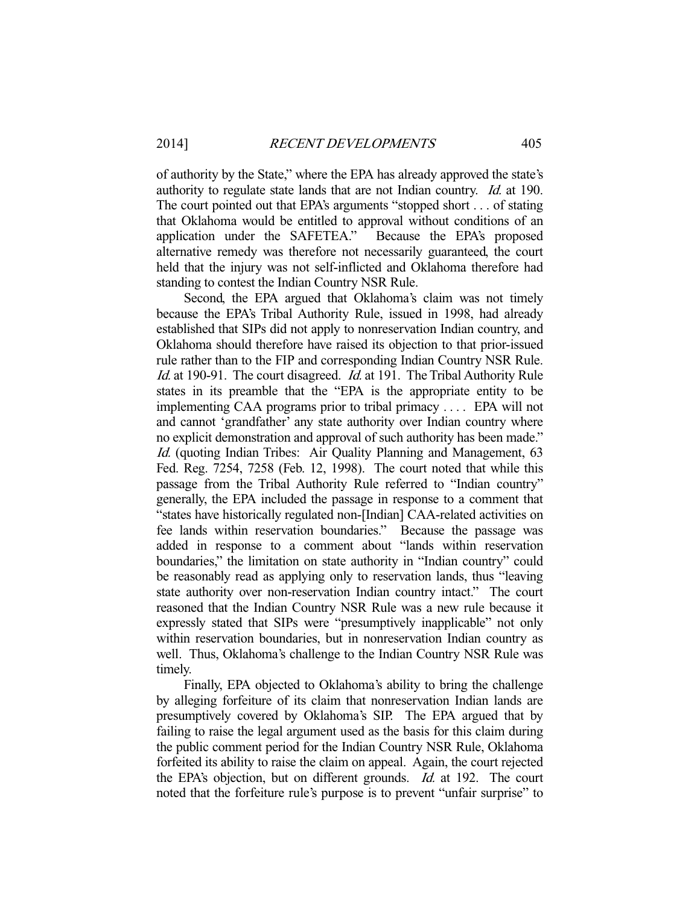of authority by the State," where the EPA has already approved the state's authority to regulate state lands that are not Indian country. Id. at 190. The court pointed out that EPA's arguments "stopped short . . . of stating that Oklahoma would be entitled to approval without conditions of an application under the SAFETEA." Because the EPA's proposed alternative remedy was therefore not necessarily guaranteed, the court held that the injury was not self-inflicted and Oklahoma therefore had standing to contest the Indian Country NSR Rule.

 Second, the EPA argued that Oklahoma's claim was not timely because the EPA's Tribal Authority Rule, issued in 1998, had already established that SIPs did not apply to nonreservation Indian country, and Oklahoma should therefore have raised its objection to that prior-issued rule rather than to the FIP and corresponding Indian Country NSR Rule. Id. at 190-91. The court disagreed. Id. at 191. The Tribal Authority Rule states in its preamble that the "EPA is the appropriate entity to be implementing CAA programs prior to tribal primacy . . . . EPA will not and cannot 'grandfather' any state authority over Indian country where no explicit demonstration and approval of such authority has been made." Id. (quoting Indian Tribes: Air Quality Planning and Management, 63 Fed. Reg. 7254, 7258 (Feb. 12, 1998). The court noted that while this passage from the Tribal Authority Rule referred to "Indian country" generally, the EPA included the passage in response to a comment that "states have historically regulated non-[Indian] CAA-related activities on fee lands within reservation boundaries." Because the passage was added in response to a comment about "lands within reservation boundaries," the limitation on state authority in "Indian country" could be reasonably read as applying only to reservation lands, thus "leaving state authority over non-reservation Indian country intact." The court reasoned that the Indian Country NSR Rule was a new rule because it expressly stated that SIPs were "presumptively inapplicable" not only within reservation boundaries, but in nonreservation Indian country as well. Thus, Oklahoma's challenge to the Indian Country NSR Rule was timely.

 Finally, EPA objected to Oklahoma's ability to bring the challenge by alleging forfeiture of its claim that nonreservation Indian lands are presumptively covered by Oklahoma's SIP. The EPA argued that by failing to raise the legal argument used as the basis for this claim during the public comment period for the Indian Country NSR Rule, Oklahoma forfeited its ability to raise the claim on appeal. Again, the court rejected the EPA's objection, but on different grounds. Id. at 192. The court noted that the forfeiture rule's purpose is to prevent "unfair surprise" to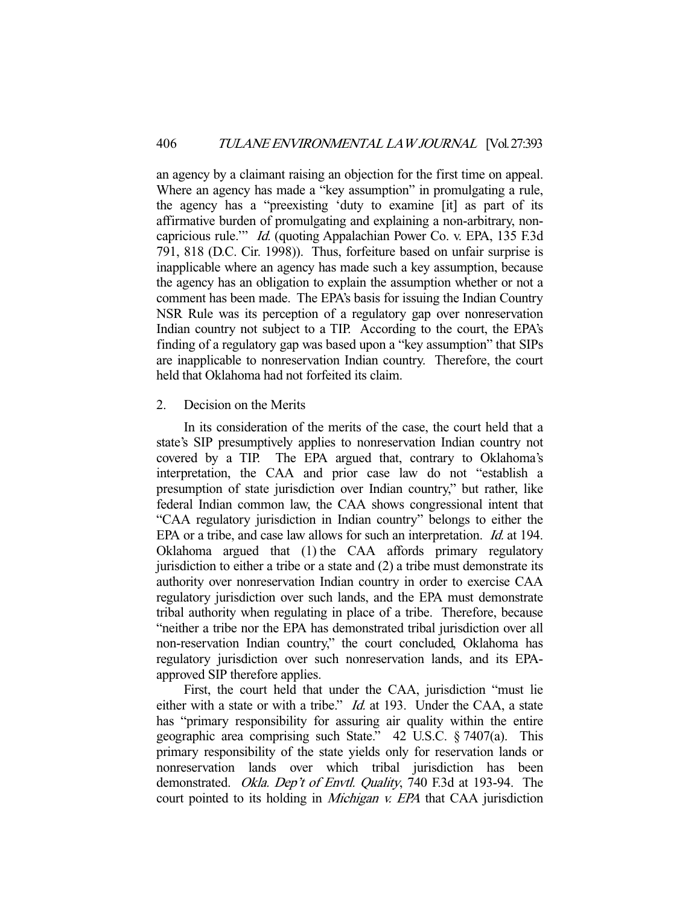an agency by a claimant raising an objection for the first time on appeal. Where an agency has made a "key assumption" in promulgating a rule, the agency has a "preexisting 'duty to examine [it] as part of its affirmative burden of promulgating and explaining a non-arbitrary, noncapricious rule.'" Id. (quoting Appalachian Power Co. v. EPA, 135 F.3d 791, 818 (D.C. Cir. 1998)). Thus, forfeiture based on unfair surprise is inapplicable where an agency has made such a key assumption, because the agency has an obligation to explain the assumption whether or not a comment has been made. The EPA's basis for issuing the Indian Country NSR Rule was its perception of a regulatory gap over nonreservation Indian country not subject to a TIP. According to the court, the EPA's finding of a regulatory gap was based upon a "key assumption" that SIPs are inapplicable to nonreservation Indian country. Therefore, the court held that Oklahoma had not forfeited its claim.

## 2. Decision on the Merits

 In its consideration of the merits of the case, the court held that a state's SIP presumptively applies to nonreservation Indian country not covered by a TIP. The EPA argued that, contrary to Oklahoma's interpretation, the CAA and prior case law do not "establish a presumption of state jurisdiction over Indian country," but rather, like federal Indian common law, the CAA shows congressional intent that "CAA regulatory jurisdiction in Indian country" belongs to either the EPA or a tribe, and case law allows for such an interpretation. *Id.* at 194. Oklahoma argued that (1) the CAA affords primary regulatory jurisdiction to either a tribe or a state and (2) a tribe must demonstrate its authority over nonreservation Indian country in order to exercise CAA regulatory jurisdiction over such lands, and the EPA must demonstrate tribal authority when regulating in place of a tribe. Therefore, because "neither a tribe nor the EPA has demonstrated tribal jurisdiction over all non-reservation Indian country," the court concluded, Oklahoma has regulatory jurisdiction over such nonreservation lands, and its EPAapproved SIP therefore applies.

 First, the court held that under the CAA, jurisdiction "must lie either with a state or with a tribe." *Id.* at 193. Under the CAA, a state has "primary responsibility for assuring air quality within the entire geographic area comprising such State." 42 U.S.C. § 7407(a). This primary responsibility of the state yields only for reservation lands or nonreservation lands over which tribal jurisdiction has been demonstrated. Okla. Dep't of Envtl. Quality, 740 F.3d at 193-94. The court pointed to its holding in *Michigan v. EPA* that CAA jurisdiction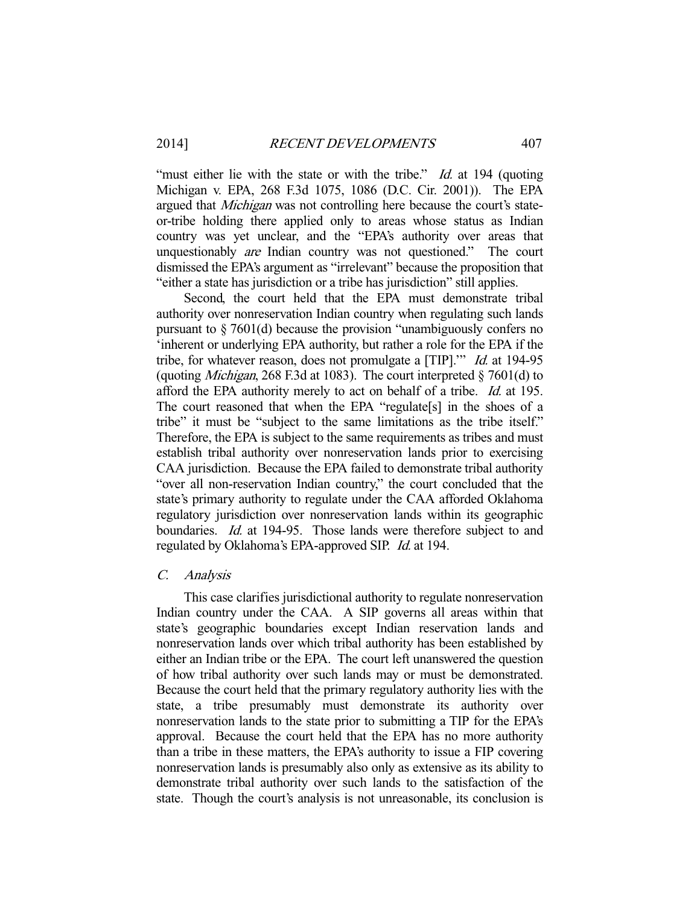"must either lie with the state or with the tribe." *Id.* at 194 (quoting Michigan v. EPA, 268 F.3d 1075, 1086 (D.C. Cir. 2001)). The EPA argued that *Michigan* was not controlling here because the court's stateor-tribe holding there applied only to areas whose status as Indian country was yet unclear, and the "EPA's authority over areas that unquestionably are Indian country was not questioned." The court dismissed the EPA's argument as "irrelevant" because the proposition that "either a state has jurisdiction or a tribe has jurisdiction" still applies.

 Second, the court held that the EPA must demonstrate tribal authority over nonreservation Indian country when regulating such lands pursuant to § 7601(d) because the provision "unambiguously confers no 'inherent or underlying EPA authority, but rather a role for the EPA if the tribe, for whatever reason, does not promulgate a [TIP]." *Id.* at 194-95 (quoting *Michigan*, 268 F.3d at 1083). The court interpreted  $\S$  7601(d) to afford the EPA authority merely to act on behalf of a tribe. Id. at 195. The court reasoned that when the EPA "regulate[s] in the shoes of a tribe" it must be "subject to the same limitations as the tribe itself." Therefore, the EPA is subject to the same requirements as tribes and must establish tribal authority over nonreservation lands prior to exercising CAA jurisdiction. Because the EPA failed to demonstrate tribal authority "over all non-reservation Indian country," the court concluded that the state's primary authority to regulate under the CAA afforded Oklahoma regulatory jurisdiction over nonreservation lands within its geographic boundaries. *Id.* at 194-95. Those lands were therefore subject to and regulated by Oklahoma's EPA-approved SIP. Id. at 194.

#### C. Analysis

 This case clarifies jurisdictional authority to regulate nonreservation Indian country under the CAA. A SIP governs all areas within that state's geographic boundaries except Indian reservation lands and nonreservation lands over which tribal authority has been established by either an Indian tribe or the EPA. The court left unanswered the question of how tribal authority over such lands may or must be demonstrated. Because the court held that the primary regulatory authority lies with the state, a tribe presumably must demonstrate its authority over nonreservation lands to the state prior to submitting a TIP for the EPA's approval. Because the court held that the EPA has no more authority than a tribe in these matters, the EPA's authority to issue a FIP covering nonreservation lands is presumably also only as extensive as its ability to demonstrate tribal authority over such lands to the satisfaction of the state. Though the court's analysis is not unreasonable, its conclusion is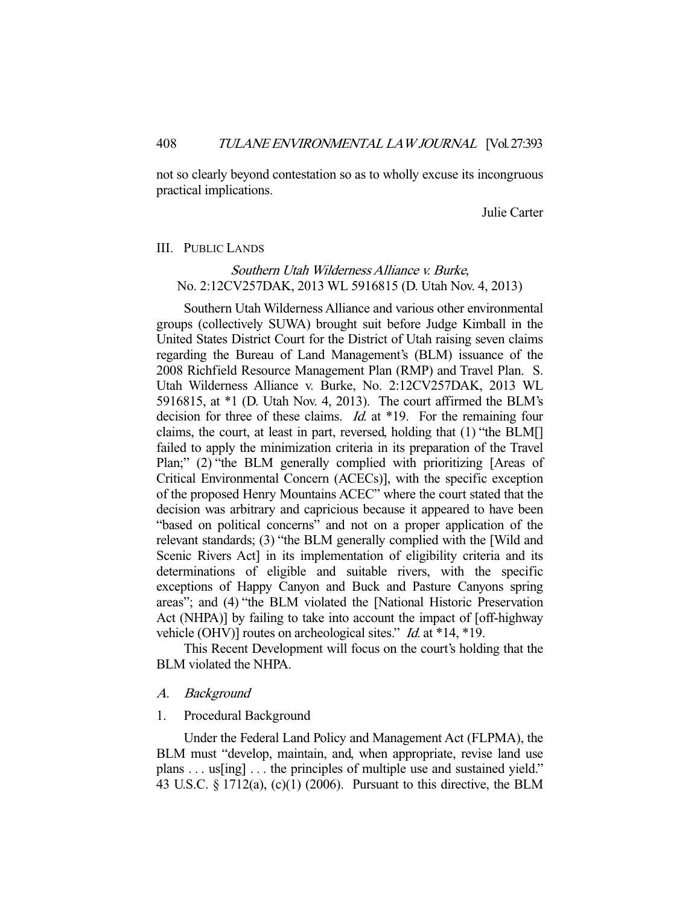not so clearly beyond contestation so as to wholly excuse its incongruous practical implications.

Julie Carter

#### III. PUBLIC LANDS

## Southern Utah Wilderness Alliance v. Burke, No. 2:12CV257DAK, 2013 WL 5916815 (D. Utah Nov. 4, 2013)

 Southern Utah Wilderness Alliance and various other environmental groups (collectively SUWA) brought suit before Judge Kimball in the United States District Court for the District of Utah raising seven claims regarding the Bureau of Land Management's (BLM) issuance of the 2008 Richfield Resource Management Plan (RMP) and Travel Plan. S. Utah Wilderness Alliance v. Burke, No. 2:12CV257DAK, 2013 WL 5916815, at \*1 (D. Utah Nov. 4, 2013). The court affirmed the BLM's decision for three of these claims. *Id.* at \*19. For the remaining four claims, the court, at least in part, reversed, holding that (1) "the BLM[] failed to apply the minimization criteria in its preparation of the Travel Plan;" (2) "the BLM generally complied with prioritizing [Areas of Critical Environmental Concern (ACECs)], with the specific exception of the proposed Henry Mountains ACEC" where the court stated that the decision was arbitrary and capricious because it appeared to have been "based on political concerns" and not on a proper application of the relevant standards; (3) "the BLM generally complied with the [Wild and Scenic Rivers Act] in its implementation of eligibility criteria and its determinations of eligible and suitable rivers, with the specific exceptions of Happy Canyon and Buck and Pasture Canyons spring areas"; and (4) "the BLM violated the [National Historic Preservation Act (NHPA)] by failing to take into account the impact of [off-highway vehicle (OHV)] routes on archeological sites." *Id.* at \*14, \*19.

 This Recent Development will focus on the court's holding that the BLM violated the NHPA.

#### A. Background

#### 1. Procedural Background

 Under the Federal Land Policy and Management Act (FLPMA), the BLM must "develop, maintain, and, when appropriate, revise land use plans . . . us[ing] . . . the principles of multiple use and sustained yield." 43 U.S.C. § 1712(a), (c)(1) (2006). Pursuant to this directive, the BLM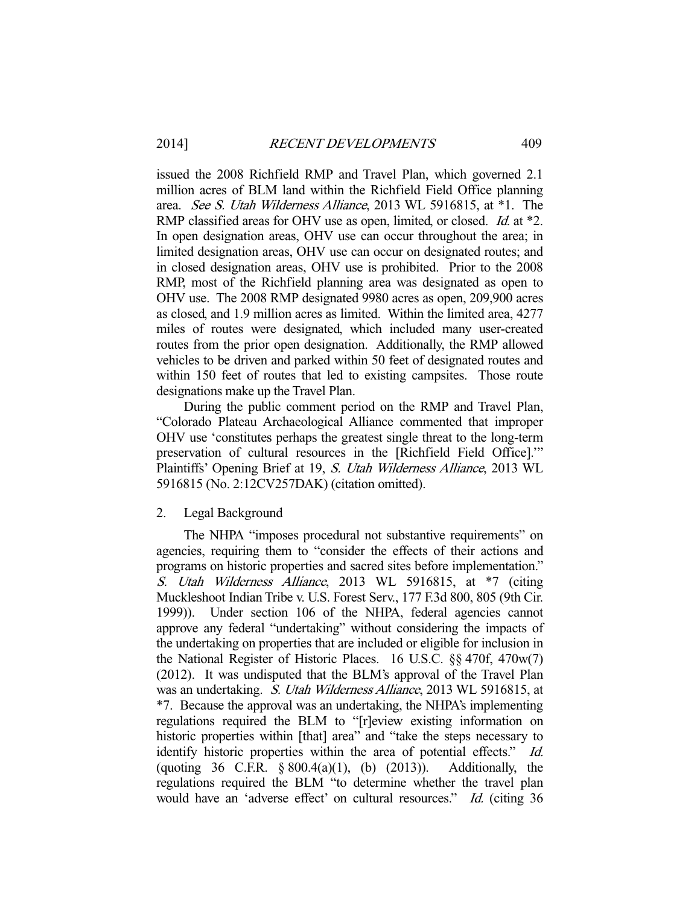issued the 2008 Richfield RMP and Travel Plan, which governed 2.1 million acres of BLM land within the Richfield Field Office planning area. See S. Utah Wilderness Alliance, 2013 WL 5916815, at \*1. The RMP classified areas for OHV use as open, limited, or closed. *Id.* at \*2. In open designation areas, OHV use can occur throughout the area; in limited designation areas, OHV use can occur on designated routes; and in closed designation areas, OHV use is prohibited. Prior to the 2008 RMP, most of the Richfield planning area was designated as open to OHV use. The 2008 RMP designated 9980 acres as open, 209,900 acres as closed, and 1.9 million acres as limited. Within the limited area, 4277 miles of routes were designated, which included many user-created routes from the prior open designation. Additionally, the RMP allowed vehicles to be driven and parked within 50 feet of designated routes and within 150 feet of routes that led to existing campsites. Those route designations make up the Travel Plan.

 During the public comment period on the RMP and Travel Plan, "Colorado Plateau Archaeological Alliance commented that improper OHV use 'constitutes perhaps the greatest single threat to the long-term preservation of cultural resources in the [Richfield Field Office].'" Plaintiffs' Opening Brief at 19, S. Utah Wilderness Alliance, 2013 WL 5916815 (No. 2:12CV257DAK) (citation omitted).

#### 2. Legal Background

 The NHPA "imposes procedural not substantive requirements" on agencies, requiring them to "consider the effects of their actions and programs on historic properties and sacred sites before implementation." S. Utah Wilderness Alliance, 2013 WL 5916815, at \*7 (citing Muckleshoot Indian Tribe v. U.S. Forest Serv., 177 F.3d 800, 805 (9th Cir. 1999)). Under section 106 of the NHPA, federal agencies cannot approve any federal "undertaking" without considering the impacts of the undertaking on properties that are included or eligible for inclusion in the National Register of Historic Places. 16 U.S.C. §§ 470f, 470w(7) (2012). It was undisputed that the BLM's approval of the Travel Plan was an undertaking. S. Utah Wilderness Alliance, 2013 WL 5916815, at \*7. Because the approval was an undertaking, the NHPA's implementing regulations required the BLM to "[r]eview existing information on historic properties within [that] area" and "take the steps necessary to identify historic properties within the area of potential effects." Id. (quoting 36 C.F.R.  $\S 800.4(a)(1)$ , (b) (2013)). Additionally, the regulations required the BLM "to determine whether the travel plan would have an 'adverse effect' on cultural resources." Id. (citing 36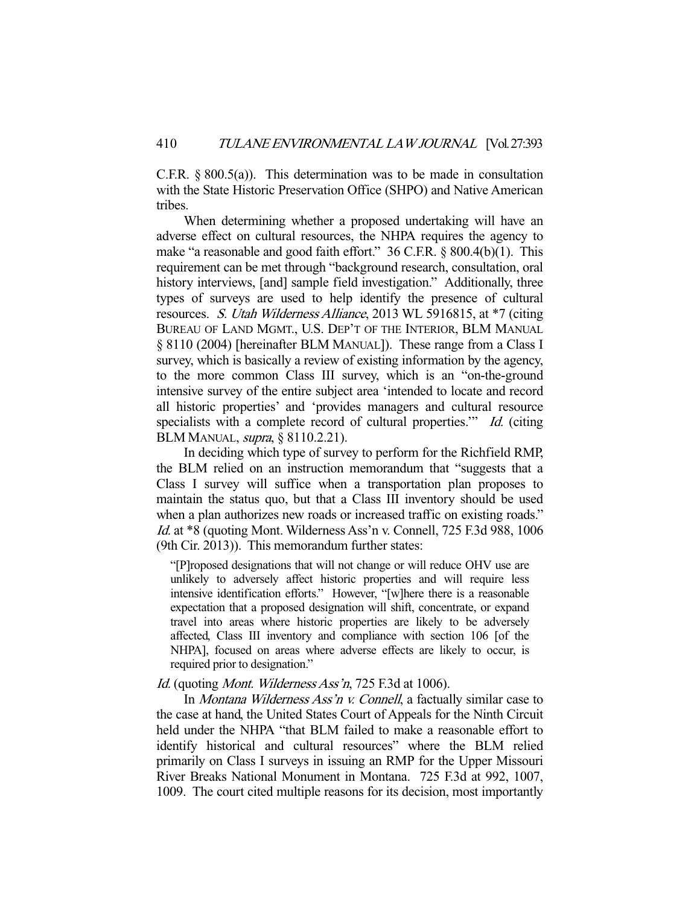C.F.R.  $\S 800.5(a)$ . This determination was to be made in consultation with the State Historic Preservation Office (SHPO) and Native American tribes.

 When determining whether a proposed undertaking will have an adverse effect on cultural resources, the NHPA requires the agency to make "a reasonable and good faith effort." 36 C.F.R. § 800.4(b)(1). This requirement can be met through "background research, consultation, oral history interviews, [and] sample field investigation." Additionally, three types of surveys are used to help identify the presence of cultural resources. S. Utah Wilderness Alliance, 2013 WL 5916815, at \*7 (citing BUREAU OF LAND MGMT., U.S. DEP'T OF THE INTERIOR, BLM MANUAL § 8110 (2004) [hereinafter BLM MANUAL]). These range from a Class I survey, which is basically a review of existing information by the agency, to the more common Class III survey, which is an "on-the-ground intensive survey of the entire subject area 'intended to locate and record all historic properties' and 'provides managers and cultural resource specialists with a complete record of cultural properties." Id. (citing BLM MANUAL, supra, § 8110.2.21).

 In deciding which type of survey to perform for the Richfield RMP, the BLM relied on an instruction memorandum that "suggests that a Class I survey will suffice when a transportation plan proposes to maintain the status quo, but that a Class III inventory should be used when a plan authorizes new roads or increased traffic on existing roads." Id. at \*8 (quoting Mont. Wilderness Ass'n v. Connell, 725 F.3d 988, 1006 (9th Cir. 2013)). This memorandum further states:

"[P]roposed designations that will not change or will reduce OHV use are unlikely to adversely affect historic properties and will require less intensive identification efforts." However, "[w]here there is a reasonable expectation that a proposed designation will shift, concentrate, or expand travel into areas where historic properties are likely to be adversely affected, Class III inventory and compliance with section 106 [of the NHPA], focused on areas where adverse effects are likely to occur, is required prior to designation."

#### Id. (quoting *Mont. Wilderness Ass'n*, 725 F.3d at 1006).

In *Montana Wilderness Ass'n v. Connell*, a factually similar case to the case at hand, the United States Court of Appeals for the Ninth Circuit held under the NHPA "that BLM failed to make a reasonable effort to identify historical and cultural resources" where the BLM relied primarily on Class I surveys in issuing an RMP for the Upper Missouri River Breaks National Monument in Montana. 725 F.3d at 992, 1007, 1009. The court cited multiple reasons for its decision, most importantly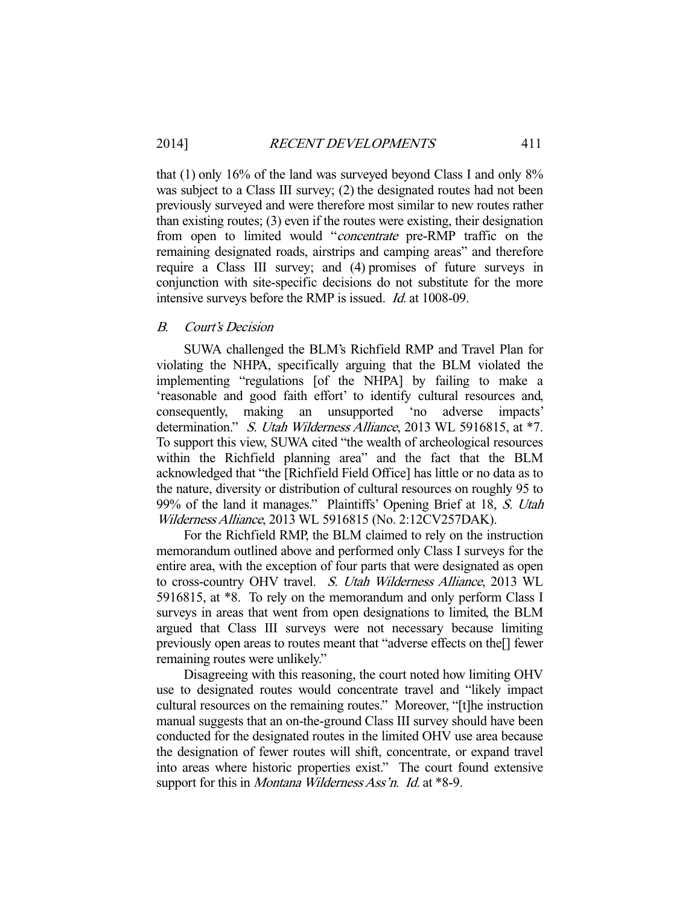that (1) only 16% of the land was surveyed beyond Class I and only 8% was subject to a Class III survey; (2) the designated routes had not been previously surveyed and were therefore most similar to new routes rather than existing routes; (3) even if the routes were existing, their designation from open to limited would "concentrate pre-RMP traffic on the remaining designated roads, airstrips and camping areas" and therefore require a Class III survey; and (4) promises of future surveys in conjunction with site-specific decisions do not substitute for the more intensive surveys before the RMP is issued. Id. at 1008-09.

## B. Court's Decision

 SUWA challenged the BLM's Richfield RMP and Travel Plan for violating the NHPA, specifically arguing that the BLM violated the implementing "regulations [of the NHPA] by failing to make a 'reasonable and good faith effort' to identify cultural resources and, consequently, making an unsupported 'no adverse impacts' determination." S. Utah Wilderness Alliance, 2013 WL 5916815, at \*7. To support this view, SUWA cited "the wealth of archeological resources within the Richfield planning area" and the fact that the BLM acknowledged that "the [Richfield Field Office] has little or no data as to the nature, diversity or distribution of cultural resources on roughly 95 to 99% of the land it manages." Plaintiffs' Opening Brief at 18, S. Utah Wilderness Alliance, 2013 WL 5916815 (No. 2:12CV257DAK).

 For the Richfield RMP, the BLM claimed to rely on the instruction memorandum outlined above and performed only Class I surveys for the entire area, with the exception of four parts that were designated as open to cross-country OHV travel. S. Utah Wilderness Alliance, 2013 WL 5916815, at \*8. To rely on the memorandum and only perform Class I surveys in areas that went from open designations to limited, the BLM argued that Class III surveys were not necessary because limiting previously open areas to routes meant that "adverse effects on the[] fewer remaining routes were unlikely."

 Disagreeing with this reasoning, the court noted how limiting OHV use to designated routes would concentrate travel and "likely impact cultural resources on the remaining routes." Moreover, "[t]he instruction manual suggests that an on-the-ground Class III survey should have been conducted for the designated routes in the limited OHV use area because the designation of fewer routes will shift, concentrate, or expand travel into areas where historic properties exist." The court found extensive support for this in *Montana Wilderness Ass'n. Id.* at \*8-9.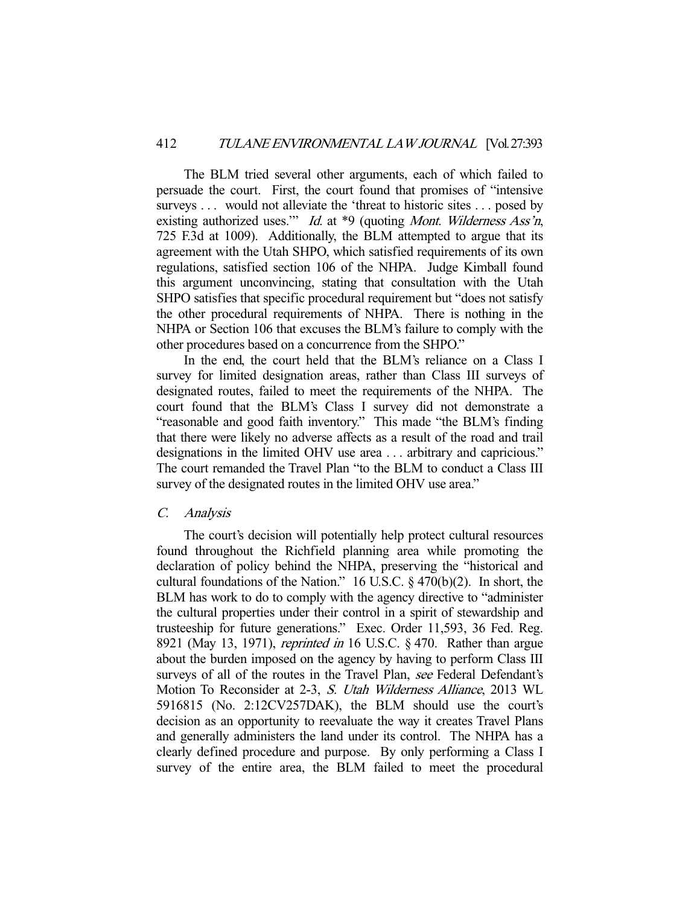The BLM tried several other arguments, each of which failed to persuade the court. First, the court found that promises of "intensive surveys . . . would not alleviate the 'threat to historic sites . . . posed by existing authorized uses." *Id.* at \*9 (quoting *Mont. Wilderness Ass'n*, 725 F.3d at 1009). Additionally, the BLM attempted to argue that its agreement with the Utah SHPO, which satisfied requirements of its own regulations, satisfied section 106 of the NHPA. Judge Kimball found this argument unconvincing, stating that consultation with the Utah SHPO satisfies that specific procedural requirement but "does not satisfy the other procedural requirements of NHPA. There is nothing in the NHPA or Section 106 that excuses the BLM's failure to comply with the other procedures based on a concurrence from the SHPO."

 In the end, the court held that the BLM's reliance on a Class I survey for limited designation areas, rather than Class III surveys of designated routes, failed to meet the requirements of the NHPA. The court found that the BLM's Class I survey did not demonstrate a "reasonable and good faith inventory." This made "the BLM's finding that there were likely no adverse affects as a result of the road and trail designations in the limited OHV use area . . . arbitrary and capricious." The court remanded the Travel Plan "to the BLM to conduct a Class III survey of the designated routes in the limited OHV use area."

#### C. Analysis

 The court's decision will potentially help protect cultural resources found throughout the Richfield planning area while promoting the declaration of policy behind the NHPA, preserving the "historical and cultural foundations of the Nation." 16 U.S.C. § 470(b)(2). In short, the BLM has work to do to comply with the agency directive to "administer the cultural properties under their control in a spirit of stewardship and trusteeship for future generations." Exec. Order 11,593, 36 Fed. Reg. 8921 (May 13, 1971), reprinted in 16 U.S.C. § 470. Rather than argue about the burden imposed on the agency by having to perform Class III surveys of all of the routes in the Travel Plan, see Federal Defendant's Motion To Reconsider at 2-3, S. Utah Wilderness Alliance, 2013 WL 5916815 (No. 2:12CV257DAK), the BLM should use the court's decision as an opportunity to reevaluate the way it creates Travel Plans and generally administers the land under its control. The NHPA has a clearly defined procedure and purpose. By only performing a Class I survey of the entire area, the BLM failed to meet the procedural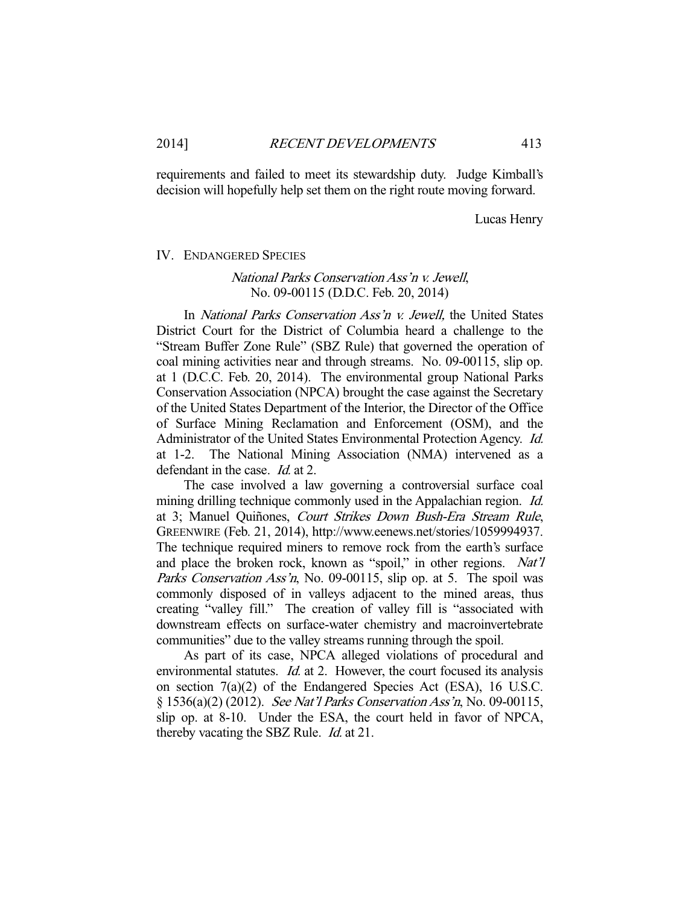requirements and failed to meet its stewardship duty. Judge Kimball's decision will hopefully help set them on the right route moving forward.

Lucas Henry

#### IV. ENDANGERED SPECIES

## National Parks Conservation Ass'n v. Jewell, No. 09-00115 (D.D.C. Feb. 20, 2014)

 In National Parks Conservation Ass'n v. Jewell, the United States District Court for the District of Columbia heard a challenge to the "Stream Buffer Zone Rule" (SBZ Rule) that governed the operation of coal mining activities near and through streams. No. 09-00115, slip op. at 1 (D.C.C. Feb. 20, 2014). The environmental group National Parks Conservation Association (NPCA) brought the case against the Secretary of the United States Department of the Interior, the Director of the Office of Surface Mining Reclamation and Enforcement (OSM), and the Administrator of the United States Environmental Protection Agency. Id. at 1-2. The National Mining Association (NMA) intervened as a defendant in the case. *Id.* at 2.

 The case involved a law governing a controversial surface coal mining drilling technique commonly used in the Appalachian region. Id. at 3; Manuel Quiñones, Court Strikes Down Bush-Era Stream Rule, GREENWIRE (Feb. 21, 2014), http://www.eenews.net/stories/1059994937. The technique required miners to remove rock from the earth's surface and place the broken rock, known as "spoil," in other regions. Nat'll Parks Conservation Ass'n, No. 09-00115, slip op. at 5. The spoil was commonly disposed of in valleys adjacent to the mined areas, thus creating "valley fill." The creation of valley fill is "associated with downstream effects on surface-water chemistry and macroinvertebrate communities" due to the valley streams running through the spoil.

 As part of its case, NPCA alleged violations of procedural and environmental statutes. *Id.* at 2. However, the court focused its analysis on section 7(a)(2) of the Endangered Species Act (ESA), 16 U.S.C. § 1536(a)(2) (2012). See Nat'l Parks Conservation Ass'n, No. 09-00115, slip op. at 8-10. Under the ESA, the court held in favor of NPCA, thereby vacating the SBZ Rule. *Id.* at 21.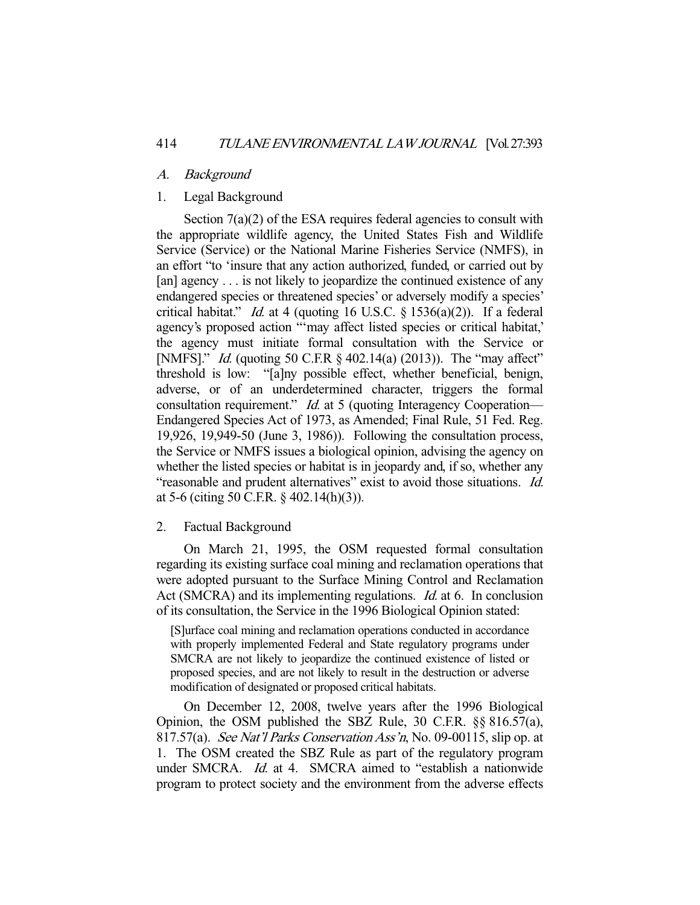#### A. Background

## 1. Legal Background

Section  $7(a)(2)$  of the ESA requires federal agencies to consult with the appropriate wildlife agency, the United States Fish and Wildlife Service (Service) or the National Marine Fisheries Service (NMFS), in an effort "to 'insure that any action authorized, funded, or carried out by [an] agency . . . is not likely to jeopardize the continued existence of any endangered species or threatened species' or adversely modify a species' critical habitat." *Id.* at 4 (quoting 16 U.S.C.  $\S$  1536(a)(2)). If a federal agency's proposed action "'may affect listed species or critical habitat,' the agency must initiate formal consultation with the Service or [NMFS]." *Id.* (quoting 50 C.F.R § 402.14(a) (2013)). The "may affect" threshold is low: "[a]ny possible effect, whether beneficial, benign, adverse, or of an underdetermined character, triggers the formal consultation requirement." *Id.* at 5 (quoting Interagency Cooperation— Endangered Species Act of 1973, as Amended; Final Rule, 51 Fed. Reg. 19,926, 19,949-50 (June 3, 1986)). Following the consultation process, the Service or NMFS issues a biological opinion, advising the agency on whether the listed species or habitat is in jeopardy and, if so, whether any "reasonable and prudent alternatives" exist to avoid those situations. Id. at 5-6 (citing 50 C.F.R. § 402.14(h)(3)).

## 2. Factual Background

 On March 21, 1995, the OSM requested formal consultation regarding its existing surface coal mining and reclamation operations that were adopted pursuant to the Surface Mining Control and Reclamation Act (SMCRA) and its implementing regulations. *Id.* at 6. In conclusion of its consultation, the Service in the 1996 Biological Opinion stated:

[S]urface coal mining and reclamation operations conducted in accordance with properly implemented Federal and State regulatory programs under SMCRA are not likely to jeopardize the continued existence of listed or proposed species, and are not likely to result in the destruction or adverse modification of designated or proposed critical habitats.

 On December 12, 2008, twelve years after the 1996 Biological Opinion, the OSM published the SBZ Rule, 30 C.F.R. §§ 816.57(a), 817.57(a). See Nat'l Parks Conservation Ass'n, No. 09-00115, slip op. at 1. The OSM created the SBZ Rule as part of the regulatory program under SMCRA. *Id.* at 4. SMCRA aimed to "establish a nationwide" program to protect society and the environment from the adverse effects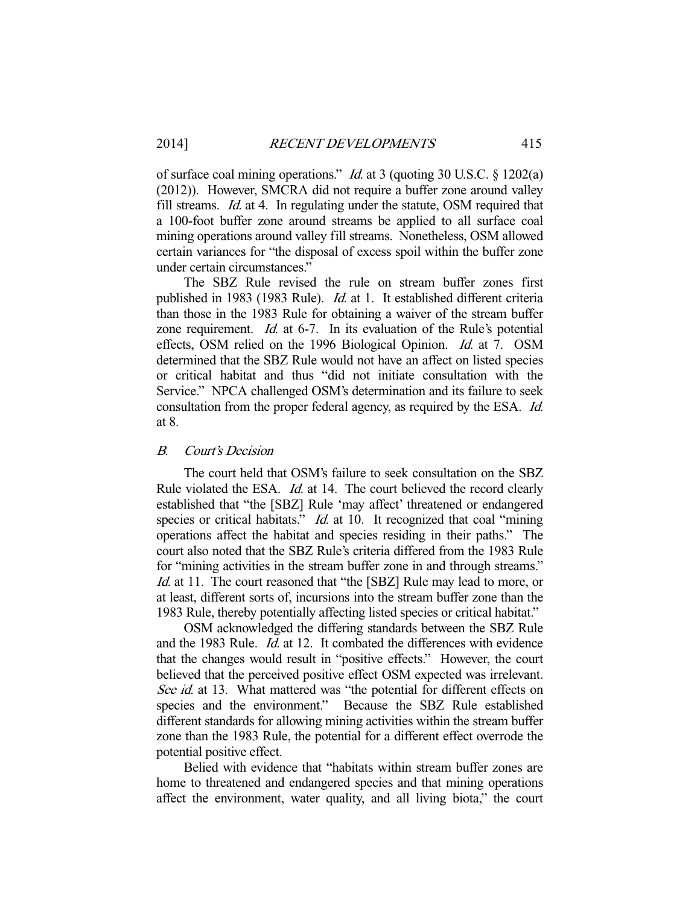of surface coal mining operations." Id. at 3 (quoting 30 U.S.C. § 1202(a) (2012)). However, SMCRA did not require a buffer zone around valley fill streams. Id. at 4. In regulating under the statute, OSM required that a 100-foot buffer zone around streams be applied to all surface coal mining operations around valley fill streams. Nonetheless, OSM allowed certain variances for "the disposal of excess spoil within the buffer zone under certain circumstances."

 The SBZ Rule revised the rule on stream buffer zones first published in 1983 (1983 Rule). Id. at 1. It established different criteria than those in the 1983 Rule for obtaining a waiver of the stream buffer zone requirement. *Id.* at 6-7. In its evaluation of the Rule's potential effects, OSM relied on the 1996 Biological Opinion. Id. at 7. OSM determined that the SBZ Rule would not have an affect on listed species or critical habitat and thus "did not initiate consultation with the Service." NPCA challenged OSM's determination and its failure to seek consultation from the proper federal agency, as required by the ESA. Id. at 8.

## B. Court's Decision

 The court held that OSM's failure to seek consultation on the SBZ Rule violated the ESA. *Id.* at 14. The court believed the record clearly established that "the [SBZ] Rule 'may affect' threatened or endangered species or critical habitats." *Id.* at 10. It recognized that coal "mining" operations affect the habitat and species residing in their paths." The court also noted that the SBZ Rule's criteria differed from the 1983 Rule for "mining activities in the stream buffer zone in and through streams." Id. at 11. The court reasoned that "the [SBZ] Rule may lead to more, or at least, different sorts of, incursions into the stream buffer zone than the 1983 Rule, thereby potentially affecting listed species or critical habitat."

 OSM acknowledged the differing standards between the SBZ Rule and the 1983 Rule. Id. at 12. It combated the differences with evidence that the changes would result in "positive effects." However, the court believed that the perceived positive effect OSM expected was irrelevant. See id. at 13. What mattered was "the potential for different effects on species and the environment." Because the SBZ Rule established Because the SBZ Rule established. different standards for allowing mining activities within the stream buffer zone than the 1983 Rule, the potential for a different effect overrode the potential positive effect.

 Belied with evidence that "habitats within stream buffer zones are home to threatened and endangered species and that mining operations affect the environment, water quality, and all living biota," the court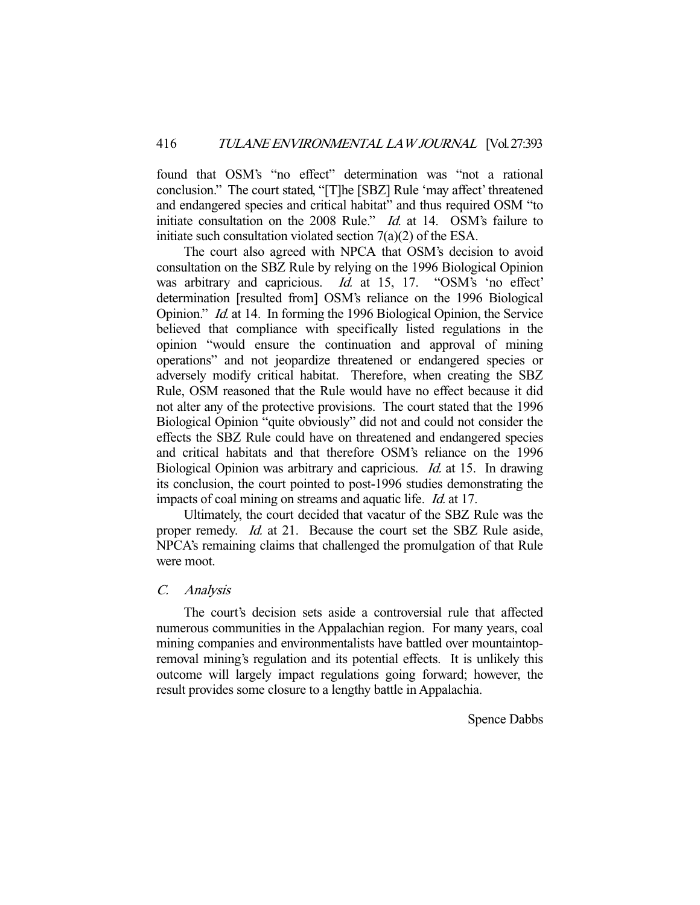found that OSM's "no effect" determination was "not a rational conclusion." The court stated, "[T]he [SBZ] Rule 'may affect' threatened and endangered species and critical habitat" and thus required OSM "to initiate consultation on the 2008 Rule." *Id.* at 14. OSM's failure to initiate such consultation violated section 7(a)(2) of the ESA.

 The court also agreed with NPCA that OSM's decision to avoid consultation on the SBZ Rule by relying on the 1996 Biological Opinion was arbitrary and capricious. *Id.* at 15, 17. "OSM's 'no effect' determination [resulted from] OSM's reliance on the 1996 Biological Opinion." Id. at 14. In forming the 1996 Biological Opinion, the Service believed that compliance with specifically listed regulations in the opinion "would ensure the continuation and approval of mining operations" and not jeopardize threatened or endangered species or adversely modify critical habitat. Therefore, when creating the SBZ Rule, OSM reasoned that the Rule would have no effect because it did not alter any of the protective provisions. The court stated that the 1996 Biological Opinion "quite obviously" did not and could not consider the effects the SBZ Rule could have on threatened and endangered species and critical habitats and that therefore OSM's reliance on the 1996 Biological Opinion was arbitrary and capricious. Id. at 15. In drawing its conclusion, the court pointed to post-1996 studies demonstrating the impacts of coal mining on streams and aquatic life. *Id.* at 17.

 Ultimately, the court decided that vacatur of the SBZ Rule was the proper remedy. Id. at 21. Because the court set the SBZ Rule aside, NPCA's remaining claims that challenged the promulgation of that Rule were moot.

## C. Analysis

 The court's decision sets aside a controversial rule that affected numerous communities in the Appalachian region. For many years, coal mining companies and environmentalists have battled over mountaintopremoval mining's regulation and its potential effects. It is unlikely this outcome will largely impact regulations going forward; however, the result provides some closure to a lengthy battle in Appalachia.

Spence Dabbs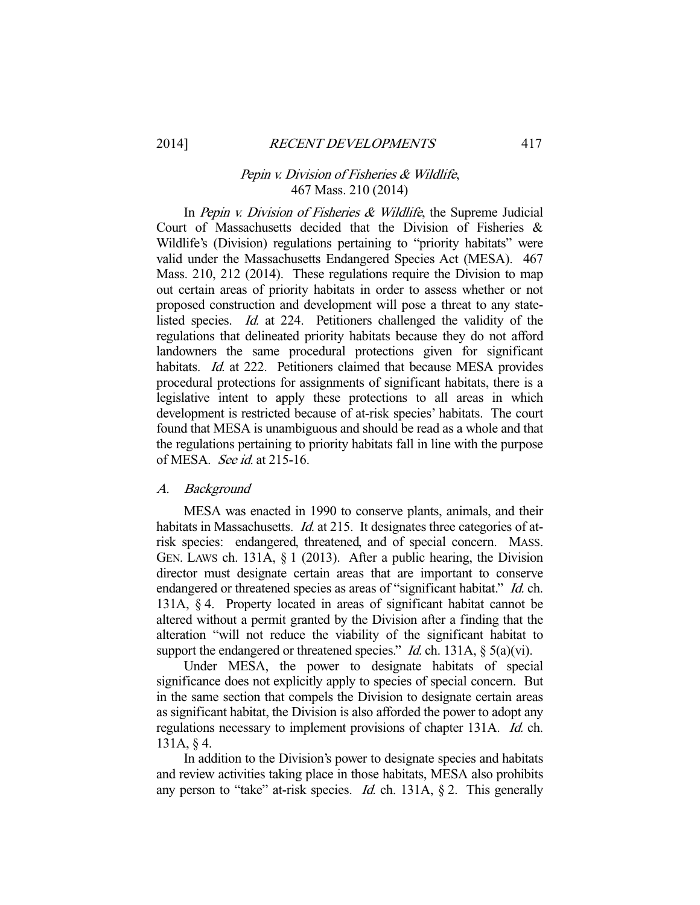## Pepin v. Division of Fisheries & Wildlife, 467 Mass. 210 (2014)

In Pepin v. Division of Fisheries  $\&$  Wildlife, the Supreme Judicial Court of Massachusetts decided that the Division of Fisheries & Wildlife's (Division) regulations pertaining to "priority habitats" were valid under the Massachusetts Endangered Species Act (MESA). 467 Mass. 210, 212 (2014). These regulations require the Division to map out certain areas of priority habitats in order to assess whether or not proposed construction and development will pose a threat to any statelisted species. Id. at 224. Petitioners challenged the validity of the regulations that delineated priority habitats because they do not afford landowners the same procedural protections given for significant habitats. *Id.* at 222. Petitioners claimed that because MESA provides procedural protections for assignments of significant habitats, there is a legislative intent to apply these protections to all areas in which development is restricted because of at-risk species' habitats. The court found that MESA is unambiguous and should be read as a whole and that the regulations pertaining to priority habitats fall in line with the purpose of MESA. See id. at 215-16.

## A. Background

 MESA was enacted in 1990 to conserve plants, animals, and their habitats in Massachusetts. *Id.* at 215. It designates three categories of atrisk species: endangered, threatened, and of special concern. MASS. GEN. LAWS ch. 131A, § 1 (2013). After a public hearing, the Division director must designate certain areas that are important to conserve endangered or threatened species as areas of "significant habitat." Id. ch. 131A, § 4. Property located in areas of significant habitat cannot be altered without a permit granted by the Division after a finding that the alteration "will not reduce the viability of the significant habitat to support the endangered or threatened species." *Id.* ch. 131A,  $\S$  5(a)(vi).

 Under MESA, the power to designate habitats of special significance does not explicitly apply to species of special concern. But in the same section that compels the Division to designate certain areas as significant habitat, the Division is also afforded the power to adopt any regulations necessary to implement provisions of chapter 131A. Id. ch. 131A, § 4.

 In addition to the Division's power to designate species and habitats and review activities taking place in those habitats, MESA also prohibits any person to "take" at-risk species. *Id.* ch. 131A,  $\S$  2. This generally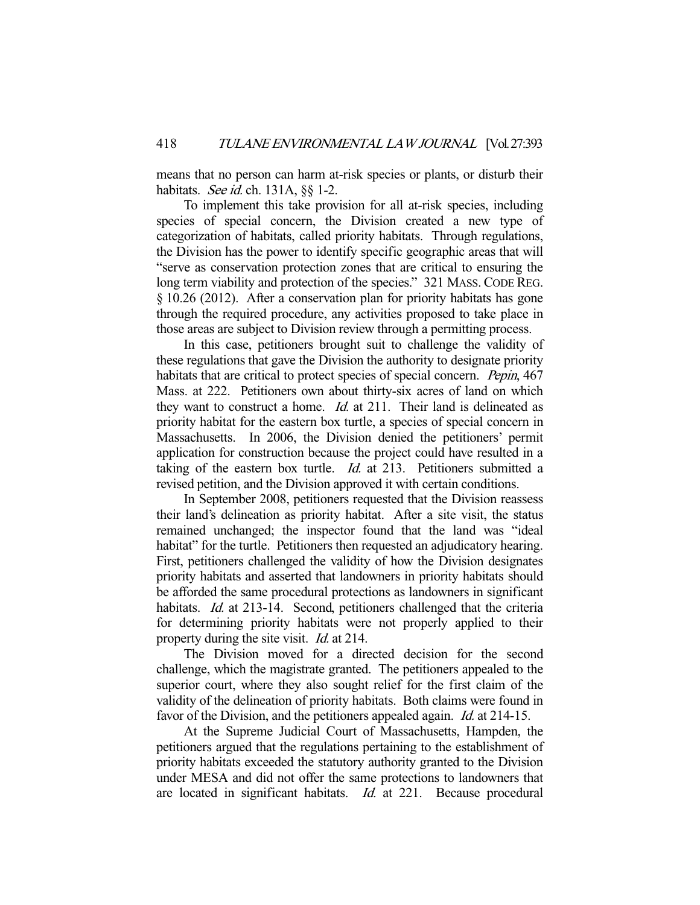means that no person can harm at-risk species or plants, or disturb their habitats. See id. ch. 131A,  $\S\S 1-2$ .

 To implement this take provision for all at-risk species, including species of special concern, the Division created a new type of categorization of habitats, called priority habitats. Through regulations, the Division has the power to identify specific geographic areas that will "serve as conservation protection zones that are critical to ensuring the long term viability and protection of the species." 321 MASS. CODE REG. § 10.26 (2012). After a conservation plan for priority habitats has gone through the required procedure, any activities proposed to take place in those areas are subject to Division review through a permitting process.

 In this case, petitioners brought suit to challenge the validity of these regulations that gave the Division the authority to designate priority habitats that are critical to protect species of special concern. *Pepin*, 467 Mass. at 222. Petitioners own about thirty-six acres of land on which they want to construct a home. *Id.* at 211. Their land is delineated as priority habitat for the eastern box turtle, a species of special concern in Massachusetts. In 2006, the Division denied the petitioners' permit application for construction because the project could have resulted in a taking of the eastern box turtle. *Id.* at 213. Petitioners submitted a revised petition, and the Division approved it with certain conditions.

 In September 2008, petitioners requested that the Division reassess their land's delineation as priority habitat. After a site visit, the status remained unchanged; the inspector found that the land was "ideal habitat" for the turtle. Petitioners then requested an adjudicatory hearing. First, petitioners challenged the validity of how the Division designates priority habitats and asserted that landowners in priority habitats should be afforded the same procedural protections as landowners in significant habitats. *Id.* at 213-14. Second, petitioners challenged that the criteria for determining priority habitats were not properly applied to their property during the site visit. *Id.* at 214.

 The Division moved for a directed decision for the second challenge, which the magistrate granted. The petitioners appealed to the superior court, where they also sought relief for the first claim of the validity of the delineation of priority habitats. Both claims were found in favor of the Division, and the petitioners appealed again. *Id.* at 214-15.

 At the Supreme Judicial Court of Massachusetts, Hampden, the petitioners argued that the regulations pertaining to the establishment of priority habitats exceeded the statutory authority granted to the Division under MESA and did not offer the same protections to landowners that are located in significant habitats. Id. at 221. Because procedural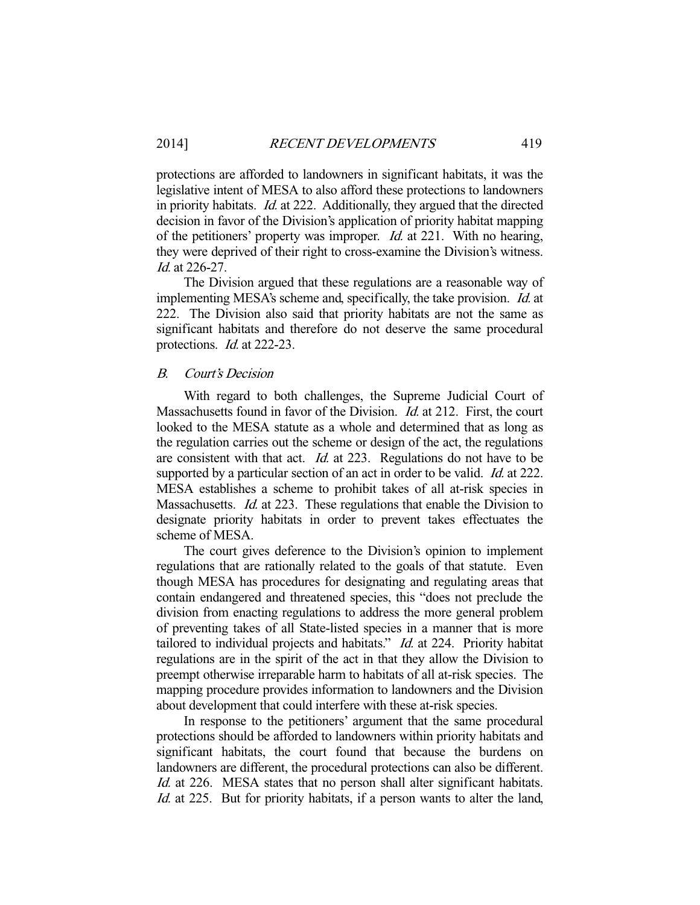protections are afforded to landowners in significant habitats, it was the legislative intent of MESA to also afford these protections to landowners in priority habitats. Id. at 222. Additionally, they argued that the directed decision in favor of the Division's application of priority habitat mapping of the petitioners' property was improper. Id. at 221. With no hearing, they were deprived of their right to cross-examine the Division's witness. Id. at 226-27.

 The Division argued that these regulations are a reasonable way of implementing MESA's scheme and, specifically, the take provision. Id. at 222. The Division also said that priority habitats are not the same as significant habitats and therefore do not deserve the same procedural protections. *Id.* at 222-23.

#### B. Court's Decision

 With regard to both challenges, the Supreme Judicial Court of Massachusetts found in favor of the Division. *Id.* at 212. First, the court looked to the MESA statute as a whole and determined that as long as the regulation carries out the scheme or design of the act, the regulations are consistent with that act. Id. at 223. Regulations do not have to be supported by a particular section of an act in order to be valid. *Id.* at 222. MESA establishes a scheme to prohibit takes of all at-risk species in Massachusetts. *Id.* at 223. These regulations that enable the Division to designate priority habitats in order to prevent takes effectuates the scheme of MESA.

 The court gives deference to the Division's opinion to implement regulations that are rationally related to the goals of that statute. Even though MESA has procedures for designating and regulating areas that contain endangered and threatened species, this "does not preclude the division from enacting regulations to address the more general problem of preventing takes of all State-listed species in a manner that is more tailored to individual projects and habitats." *Id.* at 224. Priority habitat regulations are in the spirit of the act in that they allow the Division to preempt otherwise irreparable harm to habitats of all at-risk species. The mapping procedure provides information to landowners and the Division about development that could interfere with these at-risk species.

 In response to the petitioners' argument that the same procedural protections should be afforded to landowners within priority habitats and significant habitats, the court found that because the burdens on landowners are different, the procedural protections can also be different. Id. at 226. MESA states that no person shall alter significant habitats. Id. at 225. But for priority habitats, if a person wants to alter the land,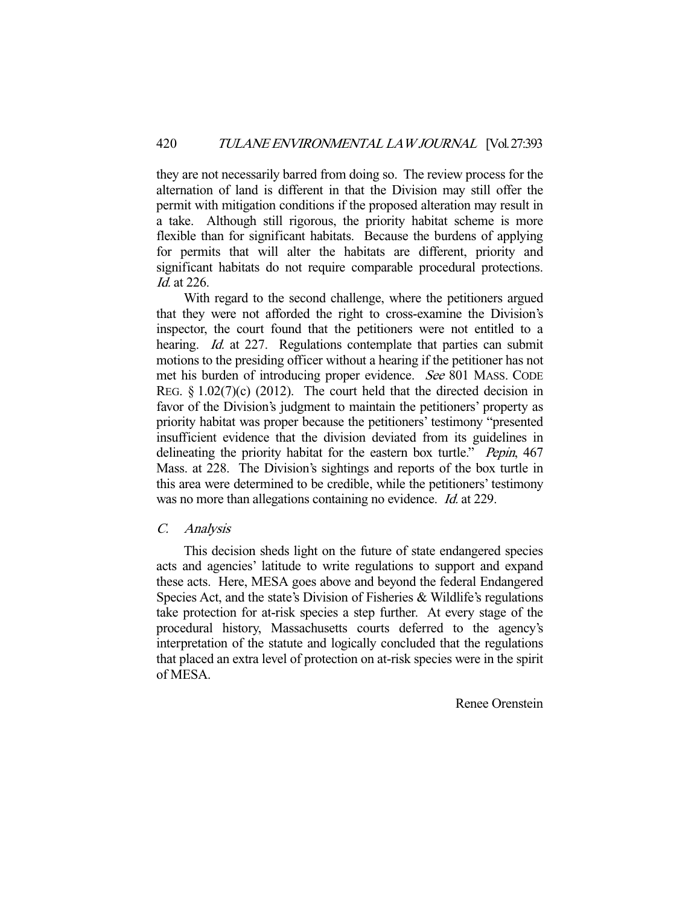they are not necessarily barred from doing so. The review process for the alternation of land is different in that the Division may still offer the permit with mitigation conditions if the proposed alteration may result in a take. Although still rigorous, the priority habitat scheme is more flexible than for significant habitats. Because the burdens of applying for permits that will alter the habitats are different, priority and significant habitats do not require comparable procedural protections. Id. at 226.

 With regard to the second challenge, where the petitioners argued that they were not afforded the right to cross-examine the Division's inspector, the court found that the petitioners were not entitled to a hearing. *Id.* at 227. Regulations contemplate that parties can submit motions to the presiding officer without a hearing if the petitioner has not met his burden of introducing proper evidence. See 801 MASS. CODE REG.  $\& 1.02(7)(c)$  (2012). The court held that the directed decision in favor of the Division's judgment to maintain the petitioners' property as priority habitat was proper because the petitioners' testimony "presented insufficient evidence that the division deviated from its guidelines in delineating the priority habitat for the eastern box turtle." *Pepin*, 467 Mass. at 228. The Division's sightings and reports of the box turtle in this area were determined to be credible, while the petitioners' testimony was no more than allegations containing no evidence. *Id.* at 229.

#### C. Analysis

 This decision sheds light on the future of state endangered species acts and agencies' latitude to write regulations to support and expand these acts. Here, MESA goes above and beyond the federal Endangered Species Act, and the state's Division of Fisheries & Wildlife's regulations take protection for at-risk species a step further. At every stage of the procedural history, Massachusetts courts deferred to the agency's interpretation of the statute and logically concluded that the regulations that placed an extra level of protection on at-risk species were in the spirit of MESA.

Renee Orenstein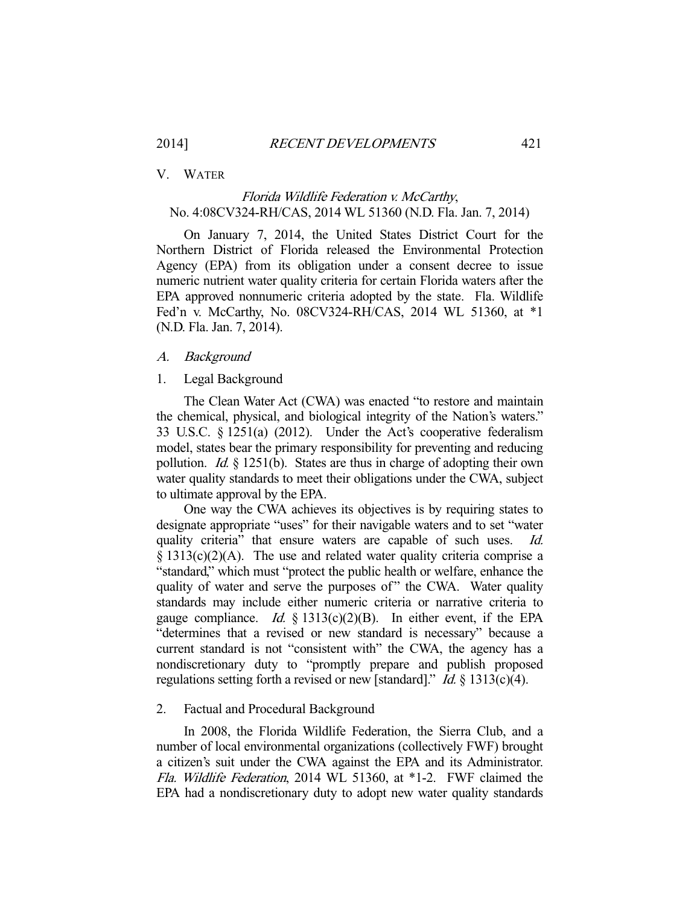#### V. WATER

# Florida Wildlife Federation v. McCarthy, No. 4:08CV324-RH/CAS, 2014 WL 51360 (N.D. Fla. Jan. 7, 2014)

 On January 7, 2014, the United States District Court for the Northern District of Florida released the Environmental Protection Agency (EPA) from its obligation under a consent decree to issue numeric nutrient water quality criteria for certain Florida waters after the EPA approved nonnumeric criteria adopted by the state. Fla. Wildlife Fed'n v. McCarthy, No. 08CV324-RH/CAS, 2014 WL 51360, at \*1 (N.D. Fla. Jan. 7, 2014).

#### A. Background

#### 1. Legal Background

 The Clean Water Act (CWA) was enacted "to restore and maintain the chemical, physical, and biological integrity of the Nation's waters." 33 U.S.C. § 1251(a) (2012). Under the Act's cooperative federalism model, states bear the primary responsibility for preventing and reducing pollution. *Id.*  $\S$  1251(b). States are thus in charge of adopting their own water quality standards to meet their obligations under the CWA, subject to ultimate approval by the EPA.

 One way the CWA achieves its objectives is by requiring states to designate appropriate "uses" for their navigable waters and to set "water quality criteria" that ensure waters are capable of such uses. Id. § 1313(c)(2)(A). The use and related water quality criteria comprise a "standard," which must "protect the public health or welfare, enhance the quality of water and serve the purposes of" the CWA. Water quality standards may include either numeric criteria or narrative criteria to gauge compliance. *Id.* § 1313(c)(2)(B). In either event, if the EPA "determines that a revised or new standard is necessary" because a current standard is not "consistent with" the CWA, the agency has a nondiscretionary duty to "promptly prepare and publish proposed regulations setting forth a revised or new [standard]." *Id.*  $\S$  1313(c)(4).

#### 2. Factual and Procedural Background

 In 2008, the Florida Wildlife Federation, the Sierra Club, and a number of local environmental organizations (collectively FWF) brought a citizen's suit under the CWA against the EPA and its Administrator. Fla. Wildlife Federation, 2014 WL 51360, at \*1-2. FWF claimed the EPA had a nondiscretionary duty to adopt new water quality standards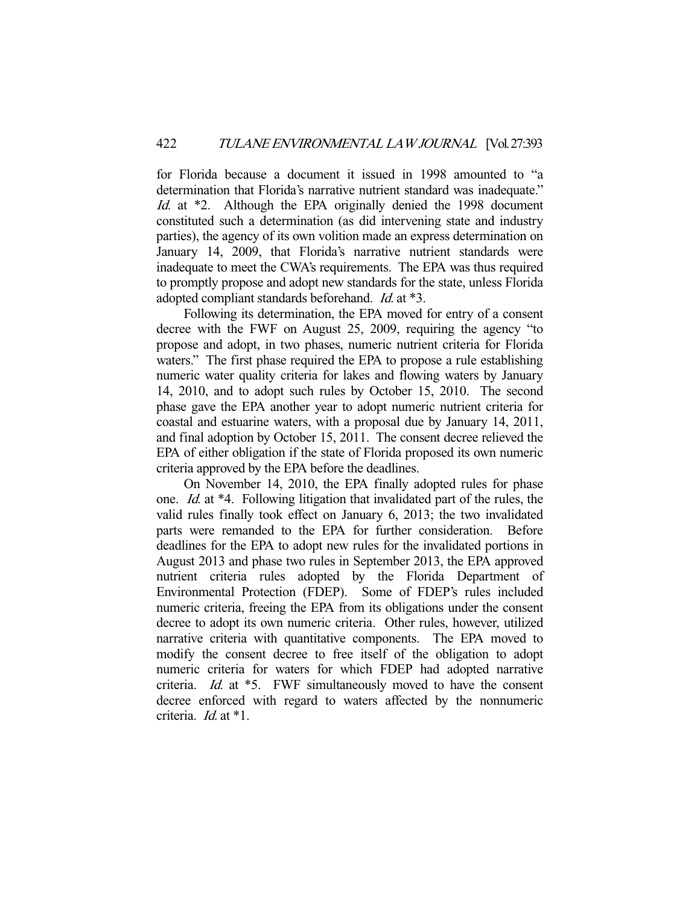for Florida because a document it issued in 1998 amounted to "a determination that Florida's narrative nutrient standard was inadequate." Id. at \*2. Although the EPA originally denied the 1998 document constituted such a determination (as did intervening state and industry parties), the agency of its own volition made an express determination on January 14, 2009, that Florida's narrative nutrient standards were inadequate to meet the CWA's requirements. The EPA was thus required to promptly propose and adopt new standards for the state, unless Florida adopted compliant standards beforehand. Id. at \*3.

 Following its determination, the EPA moved for entry of a consent decree with the FWF on August 25, 2009, requiring the agency "to propose and adopt, in two phases, numeric nutrient criteria for Florida waters." The first phase required the EPA to propose a rule establishing numeric water quality criteria for lakes and flowing waters by January 14, 2010, and to adopt such rules by October 15, 2010. The second phase gave the EPA another year to adopt numeric nutrient criteria for coastal and estuarine waters, with a proposal due by January 14, 2011, and final adoption by October 15, 2011. The consent decree relieved the EPA of either obligation if the state of Florida proposed its own numeric criteria approved by the EPA before the deadlines.

 On November 14, 2010, the EPA finally adopted rules for phase one. Id. at \*4. Following litigation that invalidated part of the rules, the valid rules finally took effect on January 6, 2013; the two invalidated parts were remanded to the EPA for further consideration. Before deadlines for the EPA to adopt new rules for the invalidated portions in August 2013 and phase two rules in September 2013, the EPA approved nutrient criteria rules adopted by the Florida Department of Environmental Protection (FDEP). Some of FDEP's rules included numeric criteria, freeing the EPA from its obligations under the consent decree to adopt its own numeric criteria. Other rules, however, utilized narrative criteria with quantitative components. The EPA moved to modify the consent decree to free itself of the obligation to adopt numeric criteria for waters for which FDEP had adopted narrative criteria. Id. at \*5. FWF simultaneously moved to have the consent decree enforced with regard to waters affected by the nonnumeric criteria. Id. at \*1.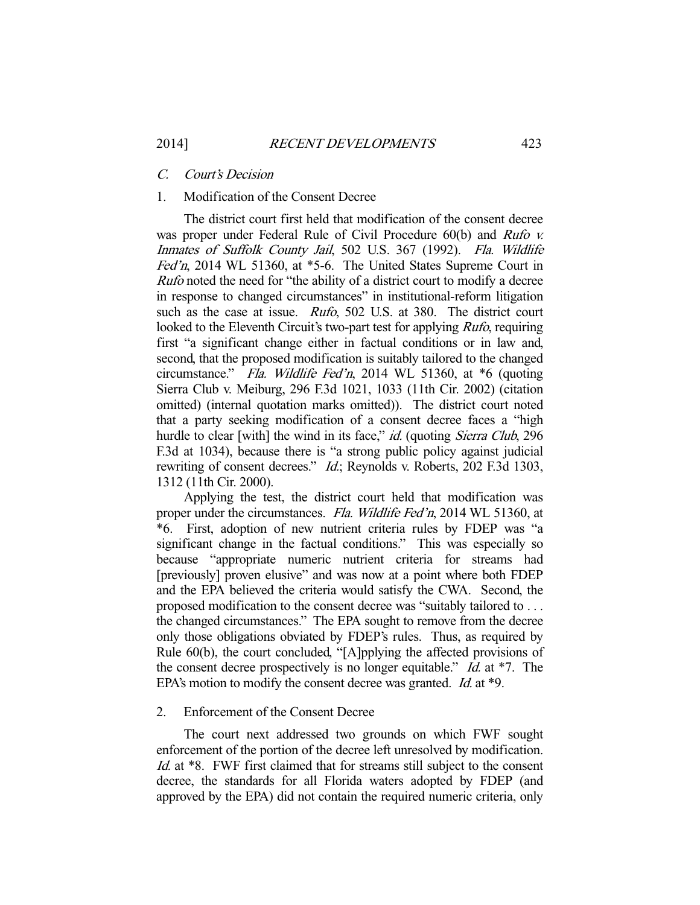### C. Court's Decision

# 1. Modification of the Consent Decree

 The district court first held that modification of the consent decree was proper under Federal Rule of Civil Procedure 60(b) and Rufo v. Inmates of Suffolk County Jail, 502 U.S. 367 (1992). Fla. Wildlife Fed'n, 2014 WL 51360, at \*5-6. The United States Supreme Court in Rufo noted the need for "the ability of a district court to modify a decree in response to changed circumstances" in institutional-reform litigation such as the case at issue. *Rufo*, 502 U.S. at 380. The district court looked to the Eleventh Circuit's two-part test for applying *Rufo*, requiring first "a significant change either in factual conditions or in law and, second, that the proposed modification is suitably tailored to the changed circumstance." Fla. Wildlife Fed'n, 2014 WL 51360, at \*6 (quoting Sierra Club v. Meiburg, 296 F.3d 1021, 1033 (11th Cir. 2002) (citation omitted) (internal quotation marks omitted)). The district court noted that a party seeking modification of a consent decree faces a "high hurdle to clear [with] the wind in its face," id. (quoting Sierra Club, 296 F.3d at 1034), because there is "a strong public policy against judicial rewriting of consent decrees." *Id.*; Reynolds v. Roberts, 202 F.3d 1303, 1312 (11th Cir. 2000).

 Applying the test, the district court held that modification was proper under the circumstances. Fla. Wildlife Fed'n, 2014 WL 51360, at \*6. First, adoption of new nutrient criteria rules by FDEP was "a significant change in the factual conditions." This was especially so because "appropriate numeric nutrient criteria for streams had [previously] proven elusive" and was now at a point where both FDEP and the EPA believed the criteria would satisfy the CWA. Second, the proposed modification to the consent decree was "suitably tailored to . . . the changed circumstances." The EPA sought to remove from the decree only those obligations obviated by FDEP's rules. Thus, as required by Rule 60(b), the court concluded, "[A]pplying the affected provisions of the consent decree prospectively is no longer equitable."  $Id$  at \*7. The EPA's motion to modify the consent decree was granted. *Id.* at \*9.

## 2. Enforcement of the Consent Decree

 The court next addressed two grounds on which FWF sought enforcement of the portion of the decree left unresolved by modification. Id. at \*8. FWF first claimed that for streams still subject to the consent decree, the standards for all Florida waters adopted by FDEP (and approved by the EPA) did not contain the required numeric criteria, only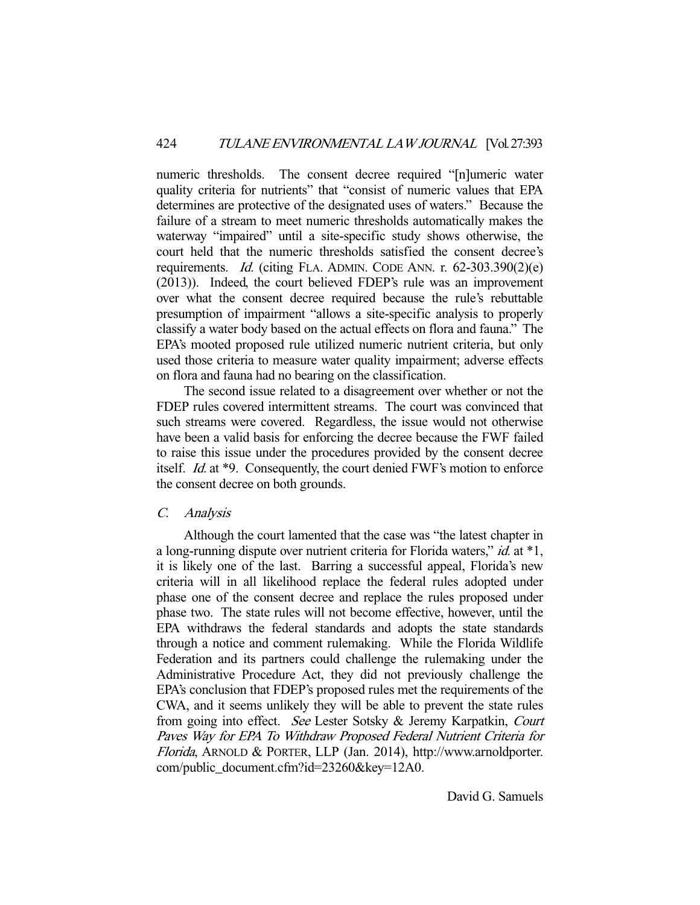numeric thresholds. The consent decree required "[n]umeric water quality criteria for nutrients" that "consist of numeric values that EPA determines are protective of the designated uses of waters." Because the failure of a stream to meet numeric thresholds automatically makes the waterway "impaired" until a site-specific study shows otherwise, the court held that the numeric thresholds satisfied the consent decree's requirements. *Id.* (citing FLA. ADMIN. CODE ANN. r.  $62-303.390(2)(e)$ ) (2013)). Indeed, the court believed FDEP's rule was an improvement over what the consent decree required because the rule's rebuttable presumption of impairment "allows a site-specific analysis to properly classify a water body based on the actual effects on flora and fauna." The EPA's mooted proposed rule utilized numeric nutrient criteria, but only used those criteria to measure water quality impairment; adverse effects on flora and fauna had no bearing on the classification.

 The second issue related to a disagreement over whether or not the FDEP rules covered intermittent streams. The court was convinced that such streams were covered. Regardless, the issue would not otherwise have been a valid basis for enforcing the decree because the FWF failed to raise this issue under the procedures provided by the consent decree itself. Id. at \*9. Consequently, the court denied FWF's motion to enforce the consent decree on both grounds.

#### C. Analysis

 Although the court lamented that the case was "the latest chapter in a long-running dispute over nutrient criteria for Florida waters," id. at \*1, it is likely one of the last. Barring a successful appeal, Florida's new criteria will in all likelihood replace the federal rules adopted under phase one of the consent decree and replace the rules proposed under phase two. The state rules will not become effective, however, until the EPA withdraws the federal standards and adopts the state standards through a notice and comment rulemaking. While the Florida Wildlife Federation and its partners could challenge the rulemaking under the Administrative Procedure Act, they did not previously challenge the EPA's conclusion that FDEP's proposed rules met the requirements of the CWA, and it seems unlikely they will be able to prevent the state rules from going into effect. See Lester Sotsky & Jeremy Karpatkin, Court Paves Way for EPA To Withdraw Proposed Federal Nutrient Criteria for Florida, ARNOLD & PORTER, LLP (Jan. 2014), http://www.arnoldporter. com/public\_document.cfm?id=23260&key=12A0.

David G. Samuels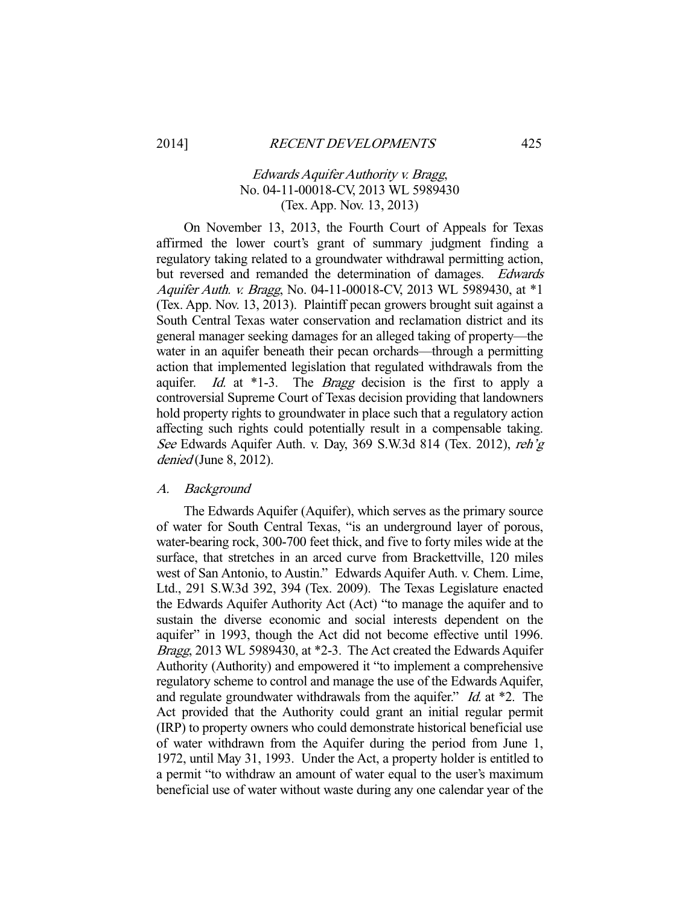# Edwards Aquifer Authority v. Bragg, No. 04-11-00018-CV, 2013 WL 5989430 (Tex. App. Nov. 13, 2013)

 On November 13, 2013, the Fourth Court of Appeals for Texas affirmed the lower court's grant of summary judgment finding a regulatory taking related to a groundwater withdrawal permitting action, but reversed and remanded the determination of damages. Edwards Aquifer Auth. v. Bragg, No. 04-11-00018-CV, 2013 WL 5989430, at \*1 (Tex. App. Nov. 13, 2013). Plaintiff pecan growers brought suit against a South Central Texas water conservation and reclamation district and its general manager seeking damages for an alleged taking of property—the water in an aquifer beneath their pecan orchards—through a permitting action that implemented legislation that regulated withdrawals from the aquifer. Id. at  $*1-3$ . The Bragg decision is the first to apply a controversial Supreme Court of Texas decision providing that landowners hold property rights to groundwater in place such that a regulatory action affecting such rights could potentially result in a compensable taking. See Edwards Aquifer Auth. v. Day, 369 S.W.3d 814 (Tex. 2012), reh'g denied (June 8, 2012).

## A. Background

 The Edwards Aquifer (Aquifer), which serves as the primary source of water for South Central Texas, "is an underground layer of porous, water-bearing rock, 300-700 feet thick, and five to forty miles wide at the surface, that stretches in an arced curve from Brackettville, 120 miles west of San Antonio, to Austin." Edwards Aquifer Auth. v. Chem. Lime, Ltd., 291 S.W.3d 392, 394 (Tex. 2009). The Texas Legislature enacted the Edwards Aquifer Authority Act (Act) "to manage the aquifer and to sustain the diverse economic and social interests dependent on the aquifer" in 1993, though the Act did not become effective until 1996. Bragg, 2013 WL 5989430, at \*2-3. The Act created the Edwards Aquifer Authority (Authority) and empowered it "to implement a comprehensive regulatory scheme to control and manage the use of the Edwards Aquifer, and regulate groundwater withdrawals from the aquifer." *Id.* at \*2. The Act provided that the Authority could grant an initial regular permit (IRP) to property owners who could demonstrate historical beneficial use of water withdrawn from the Aquifer during the period from June 1, 1972, until May 31, 1993. Under the Act, a property holder is entitled to a permit "to withdraw an amount of water equal to the user's maximum beneficial use of water without waste during any one calendar year of the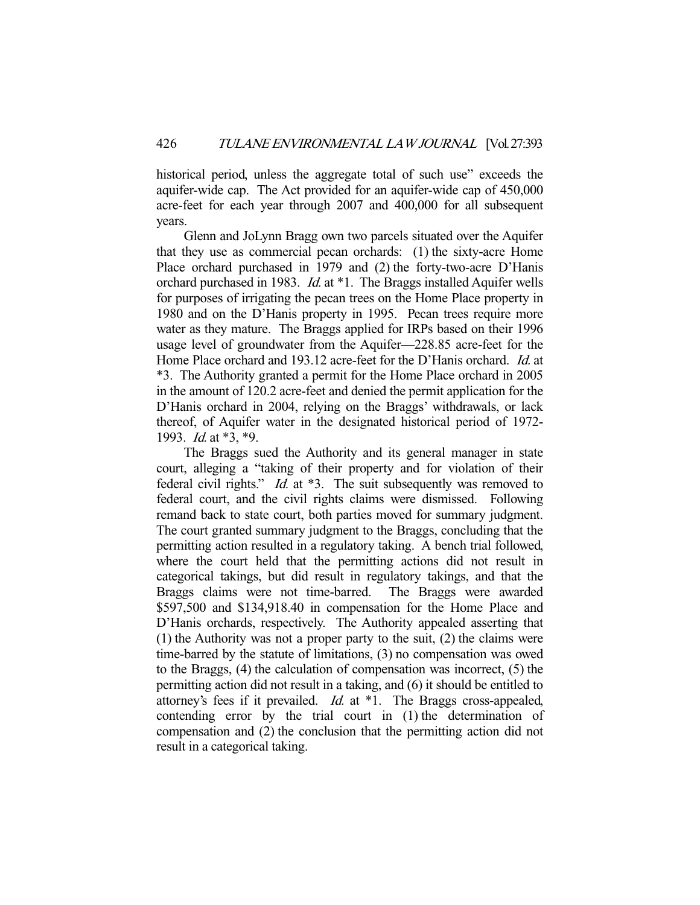historical period, unless the aggregate total of such use" exceeds the aquifer-wide cap. The Act provided for an aquifer-wide cap of 450,000 acre-feet for each year through 2007 and 400,000 for all subsequent years.

 Glenn and JoLynn Bragg own two parcels situated over the Aquifer that they use as commercial pecan orchards: (1) the sixty-acre Home Place orchard purchased in 1979 and (2) the forty-two-acre D'Hanis orchard purchased in 1983. *Id.* at \*1. The Braggs installed Aquifer wells for purposes of irrigating the pecan trees on the Home Place property in 1980 and on the D'Hanis property in 1995. Pecan trees require more water as they mature. The Braggs applied for IRPs based on their 1996 usage level of groundwater from the Aquifer—228.85 acre-feet for the Home Place orchard and 193.12 acre-feet for the D'Hanis orchard. *Id.* at \*3. The Authority granted a permit for the Home Place orchard in 2005 in the amount of 120.2 acre-feet and denied the permit application for the D'Hanis orchard in 2004, relying on the Braggs' withdrawals, or lack thereof, of Aquifer water in the designated historical period of 1972- 1993. Id. at \*3, \*9.

 The Braggs sued the Authority and its general manager in state court, alleging a "taking of their property and for violation of their federal civil rights." *Id.* at \*3. The suit subsequently was removed to federal court, and the civil rights claims were dismissed. Following remand back to state court, both parties moved for summary judgment. The court granted summary judgment to the Braggs, concluding that the permitting action resulted in a regulatory taking. A bench trial followed, where the court held that the permitting actions did not result in categorical takings, but did result in regulatory takings, and that the Braggs claims were not time-barred. The Braggs were awarded \$597,500 and \$134,918.40 in compensation for the Home Place and D'Hanis orchards, respectively. The Authority appealed asserting that (1) the Authority was not a proper party to the suit, (2) the claims were time-barred by the statute of limitations, (3) no compensation was owed to the Braggs, (4) the calculation of compensation was incorrect, (5) the permitting action did not result in a taking, and (6) it should be entitled to attorney's fees if it prevailed. Id. at \*1. The Braggs cross-appealed, contending error by the trial court in (1) the determination of compensation and (2) the conclusion that the permitting action did not result in a categorical taking.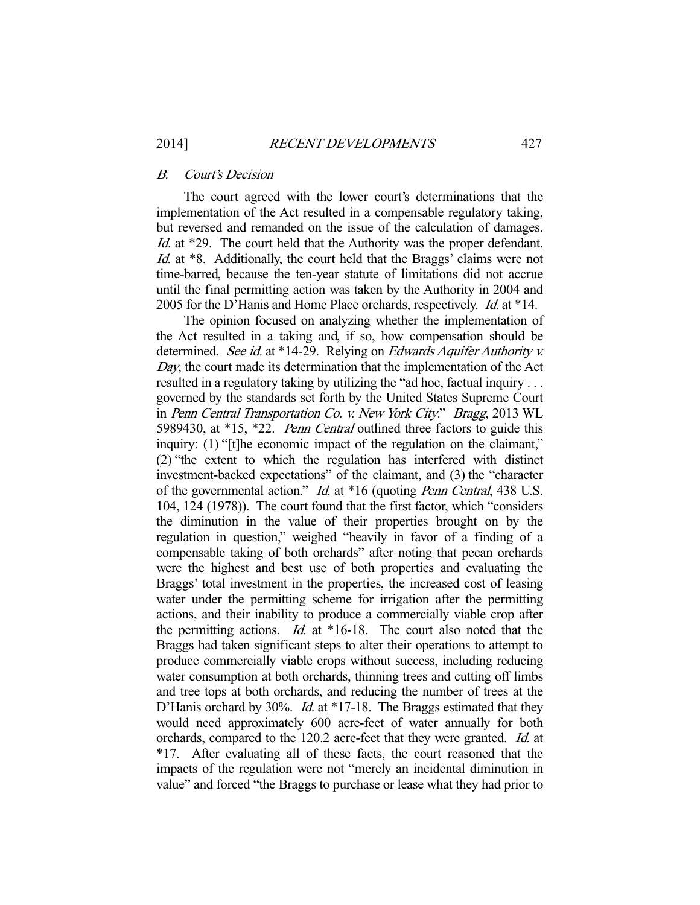#### B. Court's Decision

 The court agreed with the lower court's determinations that the implementation of the Act resulted in a compensable regulatory taking, but reversed and remanded on the issue of the calculation of damages. Id. at \*29. The court held that the Authority was the proper defendant. Id. at \*8. Additionally, the court held that the Braggs' claims were not time-barred, because the ten-year statute of limitations did not accrue until the final permitting action was taken by the Authority in 2004 and 2005 for the D'Hanis and Home Place orchards, respectively. Id. at \*14.

 The opinion focused on analyzing whether the implementation of the Act resulted in a taking and, if so, how compensation should be determined. See id. at \*14-29. Relying on Edwards Aquifer Authority v. Day, the court made its determination that the implementation of the Act resulted in a regulatory taking by utilizing the "ad hoc, factual inquiry . . . governed by the standards set forth by the United States Supreme Court in Penn Central Transportation Co. v. New York City." Bragg, 2013 WL 5989430, at \*15, \*22. Penn Central outlined three factors to guide this inquiry: (1) "[t]he economic impact of the regulation on the claimant," (2) "the extent to which the regulation has interfered with distinct investment-backed expectations" of the claimant, and (3) the "character of the governmental action." Id. at \*16 (quoting Penn Central, 438 U.S. 104, 124 (1978)). The court found that the first factor, which "considers the diminution in the value of their properties brought on by the regulation in question," weighed "heavily in favor of a finding of a compensable taking of both orchards" after noting that pecan orchards were the highest and best use of both properties and evaluating the Braggs' total investment in the properties, the increased cost of leasing water under the permitting scheme for irrigation after the permitting actions, and their inability to produce a commercially viable crop after the permitting actions. Id. at  $*16-18$ . The court also noted that the Braggs had taken significant steps to alter their operations to attempt to produce commercially viable crops without success, including reducing water consumption at both orchards, thinning trees and cutting off limbs and tree tops at both orchards, and reducing the number of trees at the D'Hanis orchard by 30%. *Id.* at \*17-18. The Braggs estimated that they would need approximately 600 acre-feet of water annually for both orchards, compared to the 120.2 acre-feet that they were granted. Id. at \*17. After evaluating all of these facts, the court reasoned that the impacts of the regulation were not "merely an incidental diminution in value" and forced "the Braggs to purchase or lease what they had prior to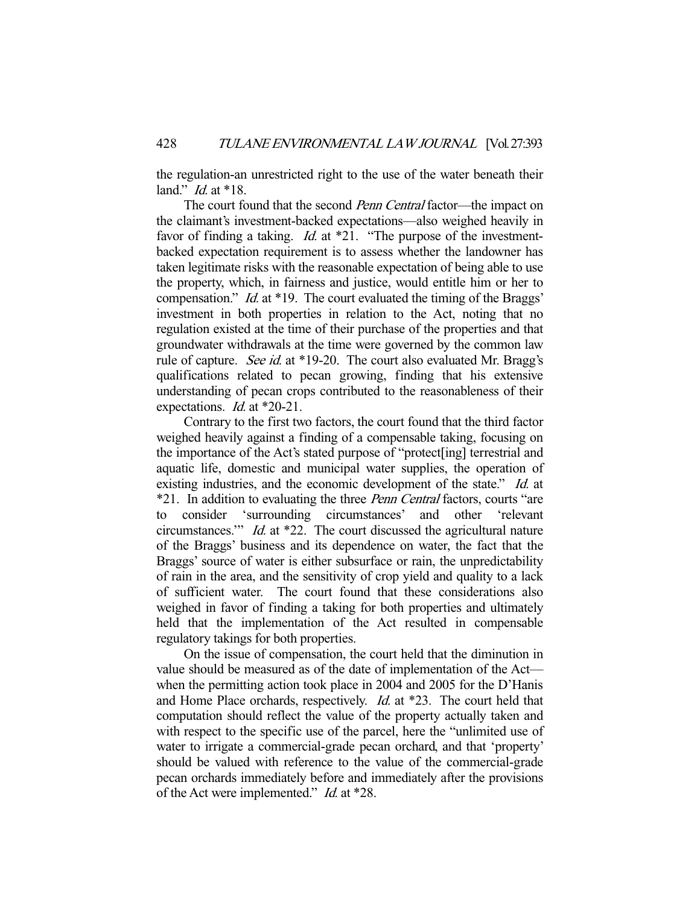the regulation-an unrestricted right to the use of the water beneath their land." *Id.* at \*18.

The court found that the second *Penn Central* factor—the impact on the claimant's investment-backed expectations—also weighed heavily in favor of finding a taking. *Id.* at \*21. "The purpose of the investmentbacked expectation requirement is to assess whether the landowner has taken legitimate risks with the reasonable expectation of being able to use the property, which, in fairness and justice, would entitle him or her to compensation." Id. at \*19. The court evaluated the timing of the Braggs' investment in both properties in relation to the Act, noting that no regulation existed at the time of their purchase of the properties and that groundwater withdrawals at the time were governed by the common law rule of capture. *See id.* at \*19-20. The court also evaluated Mr. Bragg's qualifications related to pecan growing, finding that his extensive understanding of pecan crops contributed to the reasonableness of their expectations. *Id.* at \*20-21.

 Contrary to the first two factors, the court found that the third factor weighed heavily against a finding of a compensable taking, focusing on the importance of the Act's stated purpose of "protect[ing] terrestrial and aquatic life, domestic and municipal water supplies, the operation of existing industries, and the economic development of the state." Id. at \*21. In addition to evaluating the three Penn Central factors, courts "are to consider 'surrounding circumstances' and other 'relevant circumstances.'" Id. at \*22. The court discussed the agricultural nature of the Braggs' business and its dependence on water, the fact that the Braggs' source of water is either subsurface or rain, the unpredictability of rain in the area, and the sensitivity of crop yield and quality to a lack of sufficient water. The court found that these considerations also weighed in favor of finding a taking for both properties and ultimately held that the implementation of the Act resulted in compensable regulatory takings for both properties.

 On the issue of compensation, the court held that the diminution in value should be measured as of the date of implementation of the Act when the permitting action took place in 2004 and 2005 for the D'Hanis and Home Place orchards, respectively. *Id.* at \*23. The court held that computation should reflect the value of the property actually taken and with respect to the specific use of the parcel, here the "unlimited use of water to irrigate a commercial-grade pecan orchard, and that 'property' should be valued with reference to the value of the commercial-grade pecan orchards immediately before and immediately after the provisions of the Act were implemented." Id. at \*28.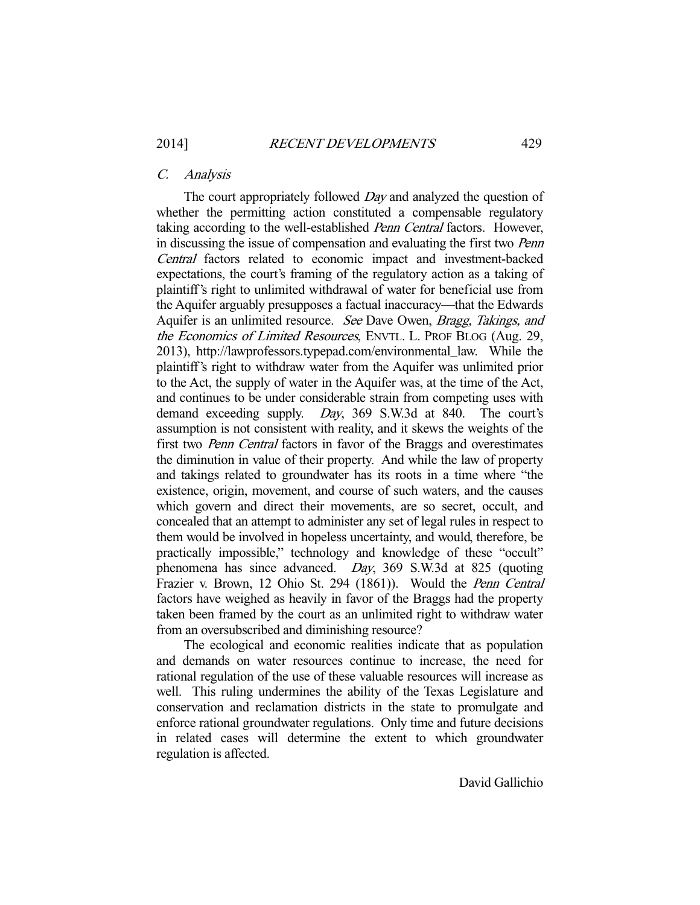## C. Analysis

The court appropriately followed *Day* and analyzed the question of whether the permitting action constituted a compensable regulatory taking according to the well-established Penn Central factors. However, in discussing the issue of compensation and evaluating the first two Penn Central factors related to economic impact and investment-backed expectations, the court's framing of the regulatory action as a taking of plaintiff's right to unlimited withdrawal of water for beneficial use from the Aquifer arguably presupposes a factual inaccuracy—that the Edwards Aquifer is an unlimited resource. See Dave Owen, Bragg, Takings, and the Economics of Limited Resources, ENVTL. L. PROF BLOG (Aug. 29, 2013), http://lawprofessors.typepad.com/environmental\_law. While the plaintiff's right to withdraw water from the Aquifer was unlimited prior to the Act, the supply of water in the Aquifer was, at the time of the Act, and continues to be under considerable strain from competing uses with demand exceeding supply. Day, 369 S.W.3d at 840. The court's assumption is not consistent with reality, and it skews the weights of the first two Penn Central factors in favor of the Braggs and overestimates the diminution in value of their property. And while the law of property and takings related to groundwater has its roots in a time where "the existence, origin, movement, and course of such waters, and the causes which govern and direct their movements, are so secret, occult, and concealed that an attempt to administer any set of legal rules in respect to them would be involved in hopeless uncertainty, and would, therefore, be practically impossible," technology and knowledge of these "occult" phenomena has since advanced. Day, 369 S.W.3d at 825 (quoting Frazier v. Brown, 12 Ohio St. 294 (1861)). Would the Penn Central factors have weighed as heavily in favor of the Braggs had the property taken been framed by the court as an unlimited right to withdraw water from an oversubscribed and diminishing resource?

 The ecological and economic realities indicate that as population and demands on water resources continue to increase, the need for rational regulation of the use of these valuable resources will increase as well. This ruling undermines the ability of the Texas Legislature and conservation and reclamation districts in the state to promulgate and enforce rational groundwater regulations. Only time and future decisions in related cases will determine the extent to which groundwater regulation is affected.

David Gallichio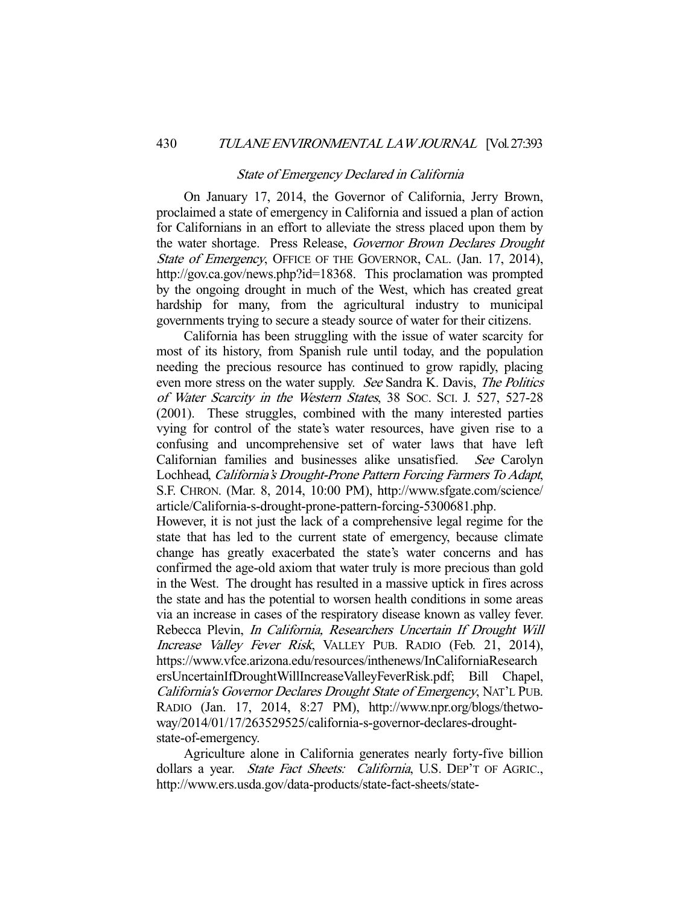#### State of Emergency Declared in California

 On January 17, 2014, the Governor of California, Jerry Brown, proclaimed a state of emergency in California and issued a plan of action for Californians in an effort to alleviate the stress placed upon them by the water shortage. Press Release, Governor Brown Declares Drought State of Emergency, OFFICE OF THE GOVERNOR, CAL. (Jan. 17, 2014), http://gov.ca.gov/news.php?id=18368. This proclamation was prompted by the ongoing drought in much of the West, which has created great hardship for many, from the agricultural industry to municipal governments trying to secure a steady source of water for their citizens.

 California has been struggling with the issue of water scarcity for most of its history, from Spanish rule until today, and the population needing the precious resource has continued to grow rapidly, placing even more stress on the water supply. See Sandra K. Davis, The Politics of Water Scarcity in the Western States, 38 SOC. SCI. J. 527, 527-28 (2001). These struggles, combined with the many interested parties vying for control of the state's water resources, have given rise to a confusing and uncomprehensive set of water laws that have left Californian families and businesses alike unsatisfied. See Carolyn Lochhead, California's Drought-Prone Pattern Forcing Farmers To Adapt, S.F. CHRON. (Mar. 8, 2014, 10:00 PM), http://www.sfgate.com/science/ article/California-s-drought-prone-pattern-forcing-5300681.php.

However, it is not just the lack of a comprehensive legal regime for the state that has led to the current state of emergency, because climate change has greatly exacerbated the state's water concerns and has confirmed the age-old axiom that water truly is more precious than gold in the West. The drought has resulted in a massive uptick in fires across the state and has the potential to worsen health conditions in some areas via an increase in cases of the respiratory disease known as valley fever. Rebecca Plevin, In California, Researchers Uncertain If Drought Will Increase Valley Fever Risk, VALLEY PUB. RADIO (Feb. 21, 2014), https://www.vfce.arizona.edu/resources/inthenews/InCaliforniaResearch ersUncertainIfDroughtWillIncreaseValleyFeverRisk.pdf; Bill Chapel, California's Governor Declares Drought State of Emergency, NAT'L PUB. RADIO (Jan. 17, 2014, 8:27 PM), http://www.npr.org/blogs/thetwoway/2014/01/17/263529525/california-s-governor-declares-droughtstate-of-emergency.

 Agriculture alone in California generates nearly forty-five billion dollars a year. State Fact Sheets: California, U.S. DEP'T OF AGRIC., http://www.ers.usda.gov/data-products/state-fact-sheets/state-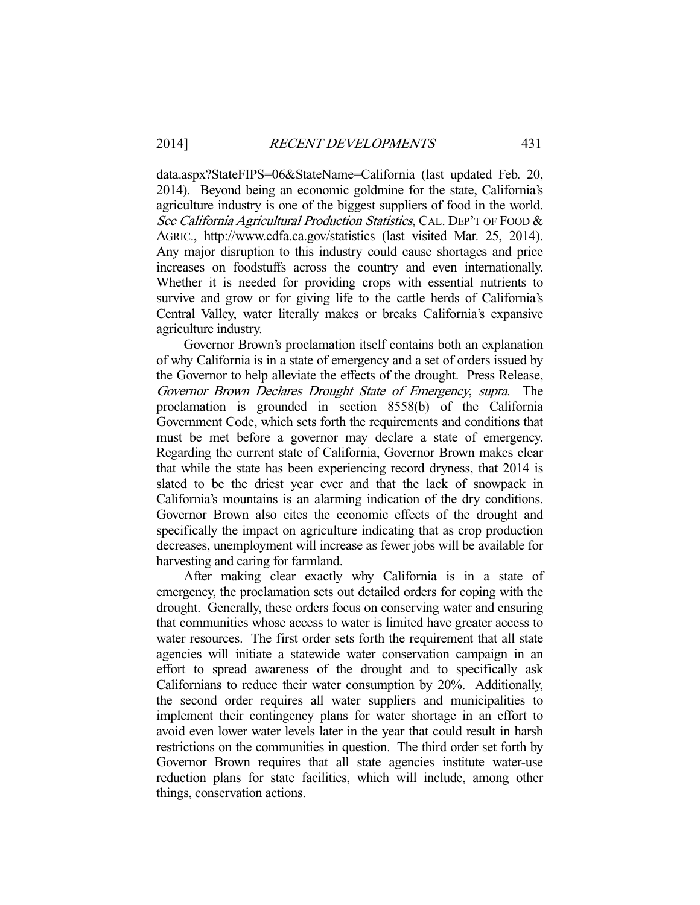data.aspx?StateFIPS=06&StateName=California (last updated Feb. 20, 2014). Beyond being an economic goldmine for the state, California's agriculture industry is one of the biggest suppliers of food in the world. See California Agricultural Production Statistics, CAL. DEP'T OF FOOD & AGRIC., http://www.cdfa.ca.gov/statistics (last visited Mar. 25, 2014). Any major disruption to this industry could cause shortages and price increases on foodstuffs across the country and even internationally. Whether it is needed for providing crops with essential nutrients to survive and grow or for giving life to the cattle herds of California's Central Valley, water literally makes or breaks California's expansive agriculture industry.

 Governor Brown's proclamation itself contains both an explanation of why California is in a state of emergency and a set of orders issued by the Governor to help alleviate the effects of the drought. Press Release, Governor Brown Declares Drought State of Emergency, supra. The proclamation is grounded in section 8558(b) of the California Government Code, which sets forth the requirements and conditions that must be met before a governor may declare a state of emergency. Regarding the current state of California, Governor Brown makes clear that while the state has been experiencing record dryness, that 2014 is slated to be the driest year ever and that the lack of snowpack in California's mountains is an alarming indication of the dry conditions. Governor Brown also cites the economic effects of the drought and specifically the impact on agriculture indicating that as crop production decreases, unemployment will increase as fewer jobs will be available for harvesting and caring for farmland.

 After making clear exactly why California is in a state of emergency, the proclamation sets out detailed orders for coping with the drought. Generally, these orders focus on conserving water and ensuring that communities whose access to water is limited have greater access to water resources. The first order sets forth the requirement that all state agencies will initiate a statewide water conservation campaign in an effort to spread awareness of the drought and to specifically ask Californians to reduce their water consumption by 20%. Additionally, the second order requires all water suppliers and municipalities to implement their contingency plans for water shortage in an effort to avoid even lower water levels later in the year that could result in harsh restrictions on the communities in question. The third order set forth by Governor Brown requires that all state agencies institute water-use reduction plans for state facilities, which will include, among other things, conservation actions.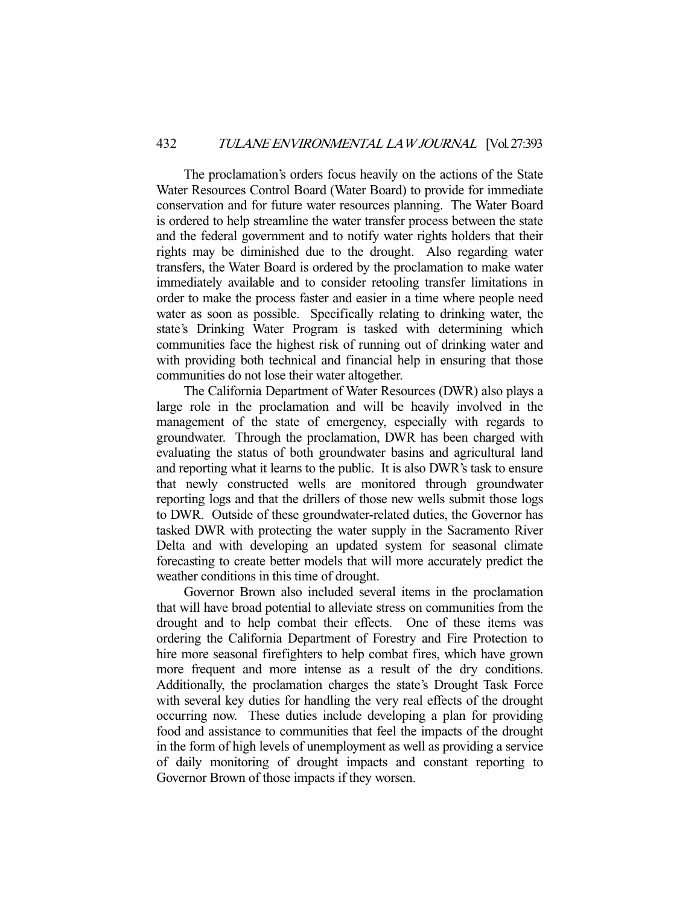The proclamation's orders focus heavily on the actions of the State Water Resources Control Board (Water Board) to provide for immediate conservation and for future water resources planning. The Water Board is ordered to help streamline the water transfer process between the state and the federal government and to notify water rights holders that their rights may be diminished due to the drought. Also regarding water transfers, the Water Board is ordered by the proclamation to make water immediately available and to consider retooling transfer limitations in order to make the process faster and easier in a time where people need water as soon as possible. Specifically relating to drinking water, the state's Drinking Water Program is tasked with determining which communities face the highest risk of running out of drinking water and with providing both technical and financial help in ensuring that those communities do not lose their water altogether.

 The California Department of Water Resources (DWR) also plays a large role in the proclamation and will be heavily involved in the management of the state of emergency, especially with regards to groundwater. Through the proclamation, DWR has been charged with evaluating the status of both groundwater basins and agricultural land and reporting what it learns to the public. It is also DWR's task to ensure that newly constructed wells are monitored through groundwater reporting logs and that the drillers of those new wells submit those logs to DWR. Outside of these groundwater-related duties, the Governor has tasked DWR with protecting the water supply in the Sacramento River Delta and with developing an updated system for seasonal climate forecasting to create better models that will more accurately predict the weather conditions in this time of drought.

 Governor Brown also included several items in the proclamation that will have broad potential to alleviate stress on communities from the drought and to help combat their effects. One of these items was ordering the California Department of Forestry and Fire Protection to hire more seasonal firefighters to help combat fires, which have grown more frequent and more intense as a result of the dry conditions. Additionally, the proclamation charges the state's Drought Task Force with several key duties for handling the very real effects of the drought occurring now. These duties include developing a plan for providing food and assistance to communities that feel the impacts of the drought in the form of high levels of unemployment as well as providing a service of daily monitoring of drought impacts and constant reporting to Governor Brown of those impacts if they worsen.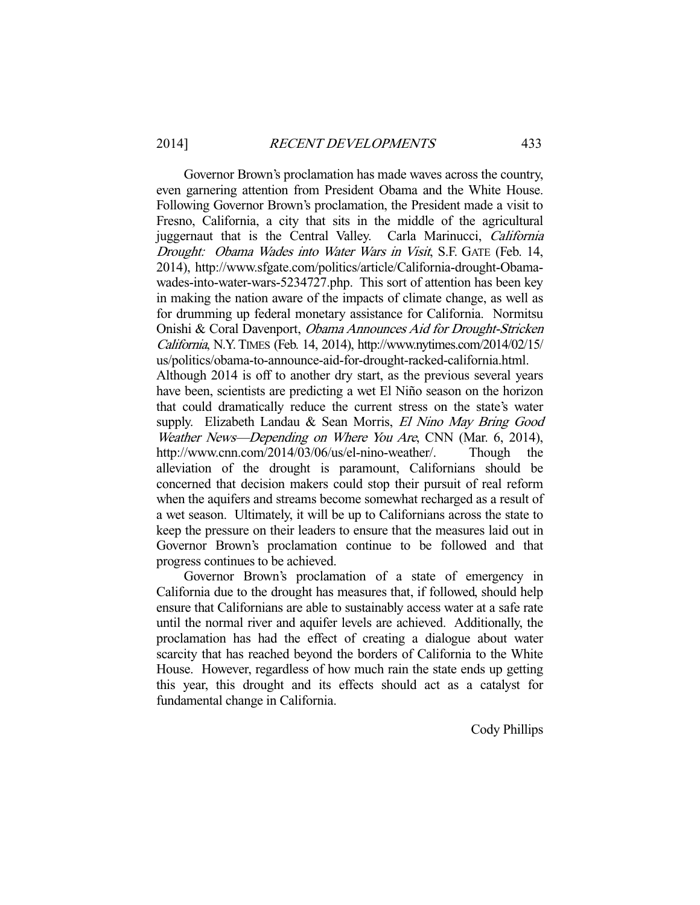Governor Brown's proclamation has made waves across the country, even garnering attention from President Obama and the White House. Following Governor Brown's proclamation, the President made a visit to Fresno, California, a city that sits in the middle of the agricultural juggernaut that is the Central Valley. Carla Marinucci, California Drought: Obama Wades into Water Wars in Visit, S.F. GATE (Feb. 14, 2014), http://www.sfgate.com/politics/article/California-drought-Obamawades-into-water-wars-5234727.php. This sort of attention has been key in making the nation aware of the impacts of climate change, as well as for drumming up federal monetary assistance for California. Normitsu Onishi & Coral Davenport, Obama Announces Aid for Drought-Stricken California, N.Y. TIMES (Feb. 14, 2014), http://www.nytimes.com/2014/02/15/ us/politics/obama-to-announce-aid-for-drought-racked-california.html.

Although 2014 is off to another dry start, as the previous several years have been, scientists are predicting a wet El Niño season on the horizon that could dramatically reduce the current stress on the state's water supply. Elizabeth Landau & Sean Morris, El Nino May Bring Good Weather News—Depending on Where You Are, CNN (Mar. 6, 2014), http://www.cnn.com/2014/03/06/us/el-nino-weather/. Though the alleviation of the drought is paramount, Californians should be concerned that decision makers could stop their pursuit of real reform when the aquifers and streams become somewhat recharged as a result of a wet season. Ultimately, it will be up to Californians across the state to keep the pressure on their leaders to ensure that the measures laid out in Governor Brown's proclamation continue to be followed and that progress continues to be achieved.

 Governor Brown's proclamation of a state of emergency in California due to the drought has measures that, if followed, should help ensure that Californians are able to sustainably access water at a safe rate until the normal river and aquifer levels are achieved. Additionally, the proclamation has had the effect of creating a dialogue about water scarcity that has reached beyond the borders of California to the White House. However, regardless of how much rain the state ends up getting this year, this drought and its effects should act as a catalyst for fundamental change in California.

Cody Phillips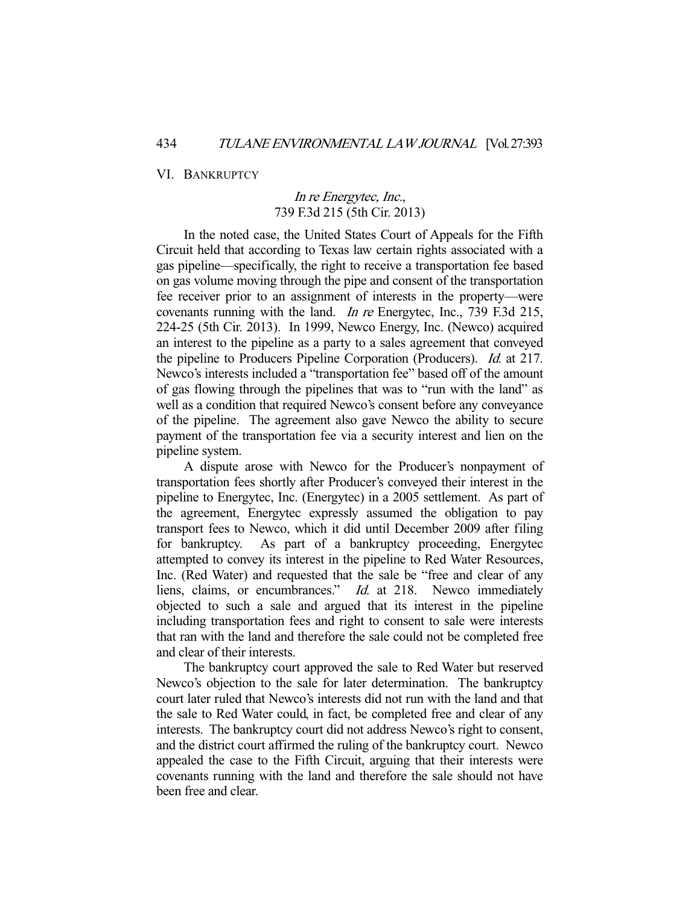VI. BANKRUPTCY

## In re Energytec, Inc., 739 F.3d 215 (5th Cir. 2013)

 In the noted case, the United States Court of Appeals for the Fifth Circuit held that according to Texas law certain rights associated with a gas pipeline—specifically, the right to receive a transportation fee based on gas volume moving through the pipe and consent of the transportation fee receiver prior to an assignment of interests in the property—were covenants running with the land. In re Energytec, Inc., 739 F.3d 215, 224-25 (5th Cir. 2013). In 1999, Newco Energy, Inc. (Newco) acquired an interest to the pipeline as a party to a sales agreement that conveyed the pipeline to Producers Pipeline Corporation (Producers). Id. at 217. Newco's interests included a "transportation fee" based off of the amount of gas flowing through the pipelines that was to "run with the land" as well as a condition that required Newco's consent before any conveyance of the pipeline. The agreement also gave Newco the ability to secure payment of the transportation fee via a security interest and lien on the pipeline system.

 A dispute arose with Newco for the Producer's nonpayment of transportation fees shortly after Producer's conveyed their interest in the pipeline to Energytec, Inc. (Energytec) in a 2005 settlement. As part of the agreement, Energytec expressly assumed the obligation to pay transport fees to Newco, which it did until December 2009 after filing for bankruptcy. As part of a bankruptcy proceeding, Energytec attempted to convey its interest in the pipeline to Red Water Resources, Inc. (Red Water) and requested that the sale be "free and clear of any liens, claims, or encumbrances." Id. at 218. Newco immediately objected to such a sale and argued that its interest in the pipeline including transportation fees and right to consent to sale were interests that ran with the land and therefore the sale could not be completed free and clear of their interests.

 The bankruptcy court approved the sale to Red Water but reserved Newco's objection to the sale for later determination. The bankruptcy court later ruled that Newco's interests did not run with the land and that the sale to Red Water could, in fact, be completed free and clear of any interests. The bankruptcy court did not address Newco's right to consent, and the district court affirmed the ruling of the bankruptcy court. Newco appealed the case to the Fifth Circuit, arguing that their interests were covenants running with the land and therefore the sale should not have been free and clear.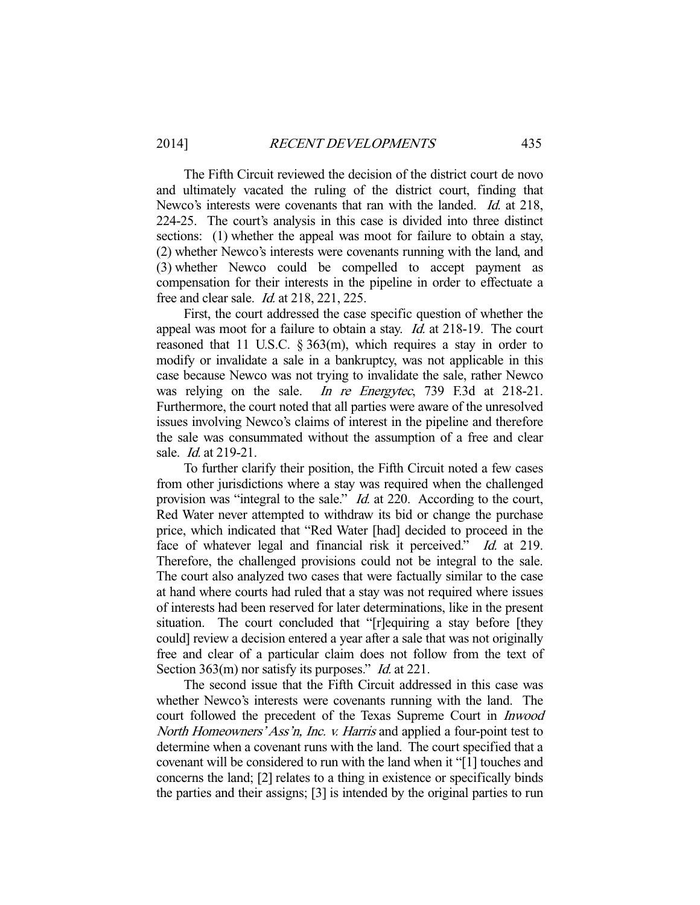The Fifth Circuit reviewed the decision of the district court de novo and ultimately vacated the ruling of the district court, finding that Newco's interests were covenants that ran with the landed. *Id.* at 218, 224-25. The court's analysis in this case is divided into three distinct sections: (1) whether the appeal was moot for failure to obtain a stay, (2) whether Newco's interests were covenants running with the land, and (3) whether Newco could be compelled to accept payment as compensation for their interests in the pipeline in order to effectuate a free and clear sale. Id. at 218, 221, 225.

 First, the court addressed the case specific question of whether the appeal was moot for a failure to obtain a stay. Id. at 218-19. The court reasoned that 11 U.S.C. § 363(m), which requires a stay in order to modify or invalidate a sale in a bankruptcy, was not applicable in this case because Newco was not trying to invalidate the sale, rather Newco was relying on the sale. *In re Energytec*, 739 F.3d at 218-21. Furthermore, the court noted that all parties were aware of the unresolved issues involving Newco's claims of interest in the pipeline and therefore the sale was consummated without the assumption of a free and clear sale. *Id.* at 219-21.

 To further clarify their position, the Fifth Circuit noted a few cases from other jurisdictions where a stay was required when the challenged provision was "integral to the sale." *Id.* at 220. According to the court, Red Water never attempted to withdraw its bid or change the purchase price, which indicated that "Red Water [had] decided to proceed in the face of whatever legal and financial risk it perceived." Id. at 219. Therefore, the challenged provisions could not be integral to the sale. The court also analyzed two cases that were factually similar to the case at hand where courts had ruled that a stay was not required where issues of interests had been reserved for later determinations, like in the present situation. The court concluded that "[r]equiring a stay before [they could] review a decision entered a year after a sale that was not originally free and clear of a particular claim does not follow from the text of Section 363(m) nor satisfy its purposes." *Id.* at 221.

 The second issue that the Fifth Circuit addressed in this case was whether Newco's interests were covenants running with the land. The court followed the precedent of the Texas Supreme Court in Inwood North Homeowners' Ass'n, Inc. v. Harris and applied a four-point test to determine when a covenant runs with the land. The court specified that a covenant will be considered to run with the land when it "[1] touches and concerns the land; [2] relates to a thing in existence or specifically binds the parties and their assigns; [3] is intended by the original parties to run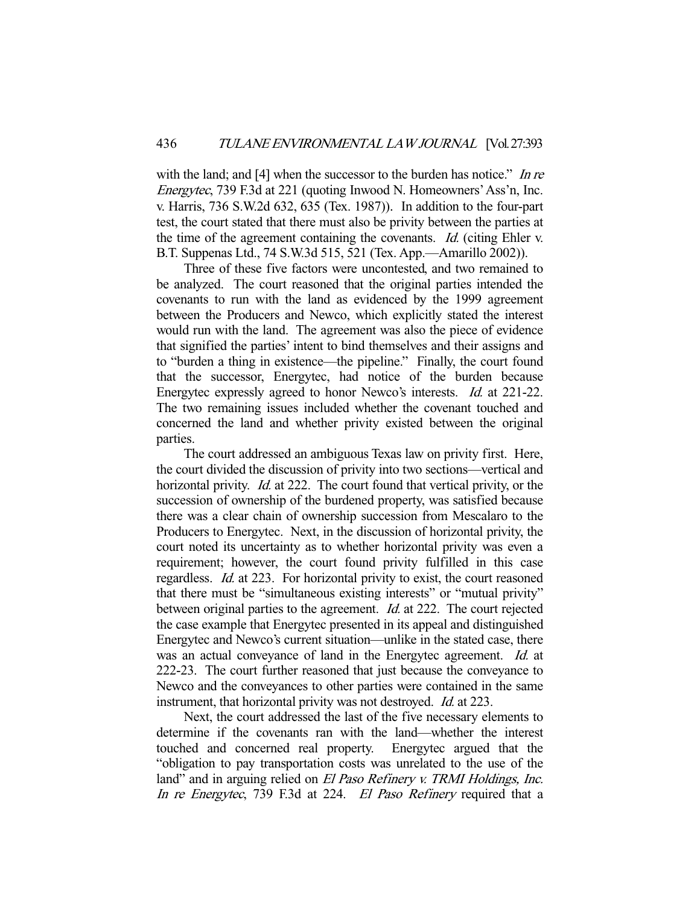with the land; and  $[4]$  when the successor to the burden has notice." In re Energytec, 739 F.3d at 221 (quoting Inwood N. Homeowners' Ass'n, Inc. v. Harris, 736 S.W.2d 632, 635 (Tex. 1987)). In addition to the four-part test, the court stated that there must also be privity between the parties at the time of the agreement containing the covenants. Id. (citing Ehler v. B.T. Suppenas Ltd., 74 S.W.3d 515, 521 (Tex. App.—Amarillo 2002)).

 Three of these five factors were uncontested, and two remained to be analyzed. The court reasoned that the original parties intended the covenants to run with the land as evidenced by the 1999 agreement between the Producers and Newco, which explicitly stated the interest would run with the land. The agreement was also the piece of evidence that signified the parties' intent to bind themselves and their assigns and to "burden a thing in existence—the pipeline." Finally, the court found that the successor, Energytec, had notice of the burden because Energytec expressly agreed to honor Newco's interests. Id. at 221-22. The two remaining issues included whether the covenant touched and concerned the land and whether privity existed between the original parties.

 The court addressed an ambiguous Texas law on privity first. Here, the court divided the discussion of privity into two sections—vertical and horizontal privity. *Id.* at 222. The court found that vertical privity, or the succession of ownership of the burdened property, was satisfied because there was a clear chain of ownership succession from Mescalaro to the Producers to Energytec. Next, in the discussion of horizontal privity, the court noted its uncertainty as to whether horizontal privity was even a requirement; however, the court found privity fulfilled in this case regardless. Id. at 223. For horizontal privity to exist, the court reasoned that there must be "simultaneous existing interests" or "mutual privity" between original parties to the agreement. *Id.* at 222. The court rejected the case example that Energytec presented in its appeal and distinguished Energytec and Newco's current situation—unlike in the stated case, there was an actual conveyance of land in the Energytec agreement. Id. at 222-23. The court further reasoned that just because the conveyance to Newco and the conveyances to other parties were contained in the same instrument, that horizontal privity was not destroyed. Id. at 223.

 Next, the court addressed the last of the five necessary elements to determine if the covenants ran with the land—whether the interest touched and concerned real property. Energytec argued that the "obligation to pay transportation costs was unrelated to the use of the land" and in arguing relied on El Paso Refinery v. TRMI Holdings, Inc. In re Energytec, 739 F.3d at 224. El Paso Refinery required that a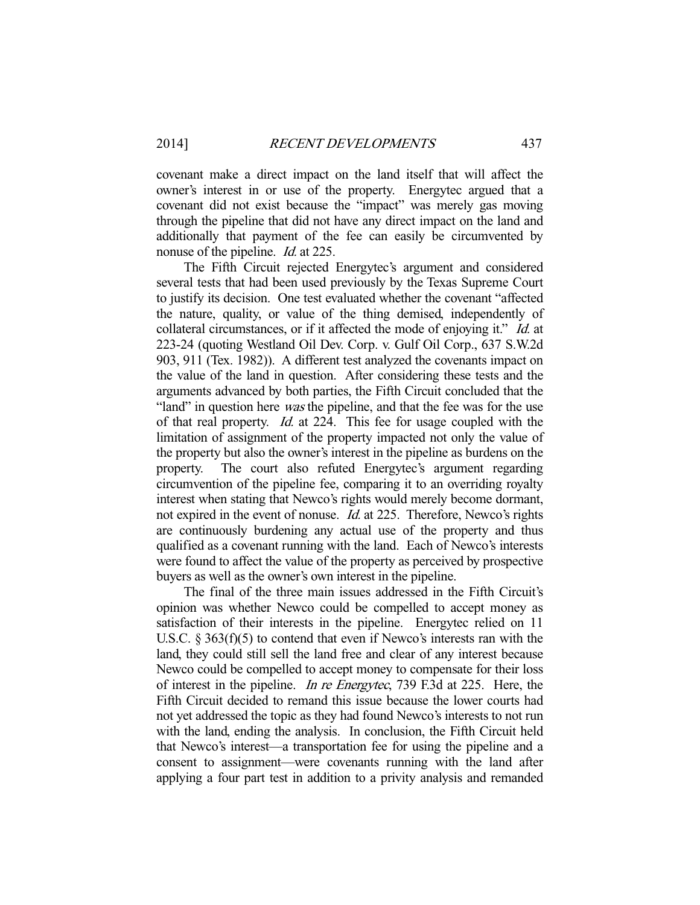covenant make a direct impact on the land itself that will affect the owner's interest in or use of the property. Energytec argued that a covenant did not exist because the "impact" was merely gas moving through the pipeline that did not have any direct impact on the land and additionally that payment of the fee can easily be circumvented by nonuse of the pipeline. *Id.* at 225.

 The Fifth Circuit rejected Energytec's argument and considered several tests that had been used previously by the Texas Supreme Court to justify its decision. One test evaluated whether the covenant "affected the nature, quality, or value of the thing demised, independently of collateral circumstances, or if it affected the mode of enjoying it." Id. at 223-24 (quoting Westland Oil Dev. Corp. v. Gulf Oil Corp., 637 S.W.2d 903, 911 (Tex. 1982)). A different test analyzed the covenants impact on the value of the land in question. After considering these tests and the arguments advanced by both parties, the Fifth Circuit concluded that the "land" in question here *was* the pipeline, and that the fee was for the use of that real property. Id. at 224. This fee for usage coupled with the limitation of assignment of the property impacted not only the value of the property but also the owner's interest in the pipeline as burdens on the property. The court also refuted Energytec's argument regarding circumvention of the pipeline fee, comparing it to an overriding royalty interest when stating that Newco's rights would merely become dormant, not expired in the event of nonuse. *Id.* at 225. Therefore, Newco's rights are continuously burdening any actual use of the property and thus qualified as a covenant running with the land. Each of Newco's interests were found to affect the value of the property as perceived by prospective buyers as well as the owner's own interest in the pipeline.

 The final of the three main issues addressed in the Fifth Circuit's opinion was whether Newco could be compelled to accept money as satisfaction of their interests in the pipeline. Energytec relied on 11 U.S.C. § 363(f)(5) to contend that even if Newco's interests ran with the land, they could still sell the land free and clear of any interest because Newco could be compelled to accept money to compensate for their loss of interest in the pipeline. In re Energytec, 739 F.3d at 225. Here, the Fifth Circuit decided to remand this issue because the lower courts had not yet addressed the topic as they had found Newco's interests to not run with the land, ending the analysis. In conclusion, the Fifth Circuit held that Newco's interest—a transportation fee for using the pipeline and a consent to assignment—were covenants running with the land after applying a four part test in addition to a privity analysis and remanded